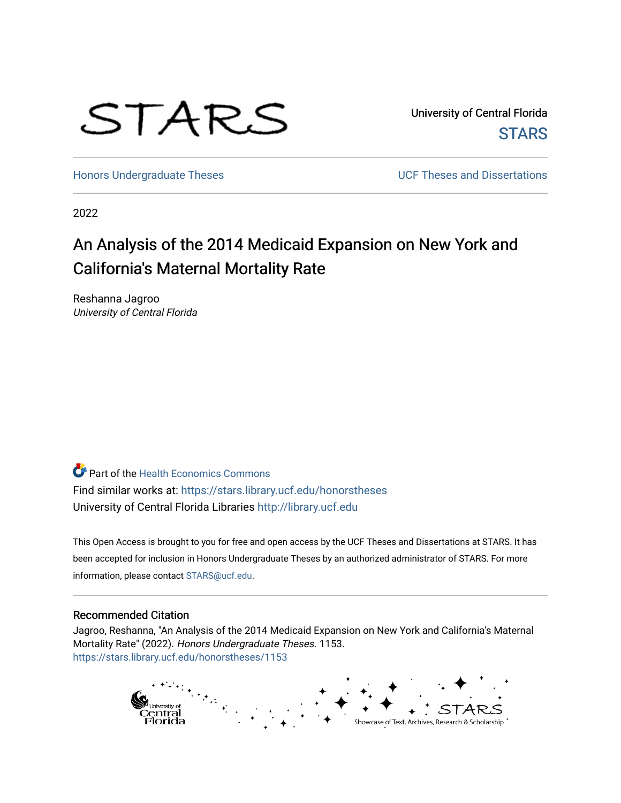

University of Central Florida **STARS** 

[Honors Undergraduate Theses](https://stars.library.ucf.edu/honorstheses) **No. 2018** UCF Theses and Dissertations

2022

# An Analysis of the 2014 Medicaid Expansion on New York and California's Maternal Mortality Rate

Reshanna Jagroo University of Central Florida

**Part of the Health Economics Commons** Find similar works at: <https://stars.library.ucf.edu/honorstheses> University of Central Florida Libraries [http://library.ucf.edu](http://library.ucf.edu/) 

This Open Access is brought to you for free and open access by the UCF Theses and Dissertations at STARS. It has been accepted for inclusion in Honors Undergraduate Theses by an authorized administrator of STARS. For more information, please contact [STARS@ucf.edu.](mailto:STARS@ucf.edu)

### Recommended Citation

Jagroo, Reshanna, "An Analysis of the 2014 Medicaid Expansion on New York and California's Maternal Mortality Rate" (2022). Honors Undergraduate Theses. 1153. [https://stars.library.ucf.edu/honorstheses/1153](https://stars.library.ucf.edu/honorstheses/1153?utm_source=stars.library.ucf.edu%2Fhonorstheses%2F1153&utm_medium=PDF&utm_campaign=PDFCoverPages)

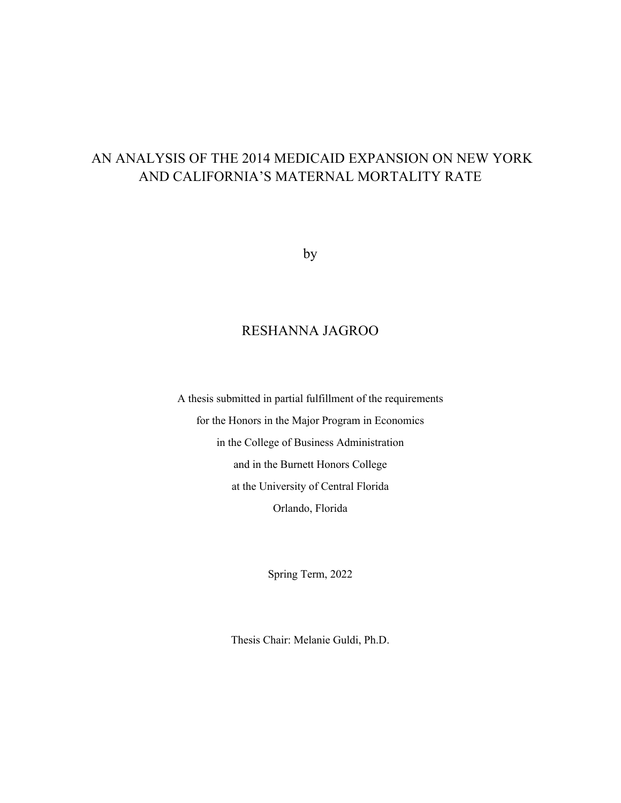## AN ANALYSIS OF THE 2014 MEDICAID EXPANSION ON NEW YORK AND CALIFORNIA'S MATERNAL MORTALITY RATE

by

### RESHANNA JAGROO

A thesis submitted in partial fulfillment of the requirements for the Honors in the Major Program in Economics in the College of Business Administration and in the Burnett Honors College at the University of Central Florida Orlando, Florida

Spring Term, 2022

Thesis Chair: Melanie Guldi, Ph.D.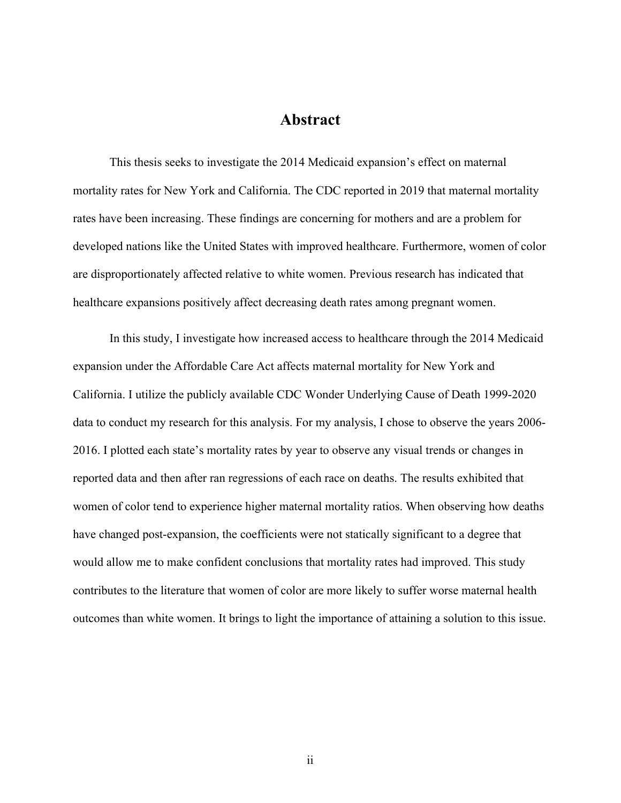### **Abstract**

This thesis seeks to investigate the 2014 Medicaid expansion's effect on maternal mortality rates for New York and California. The CDC reported in 2019 that maternal mortality rates have been increasing. These findings are concerning for mothers and are a problem for developed nations like the United States with improved healthcare. Furthermore, women of color are disproportionately affected relative to white women. Previous research has indicated that healthcare expansions positively affect decreasing death rates among pregnant women.

In this study, I investigate how increased access to healthcare through the 2014 Medicaid expansion under the Affordable Care Act affects maternal mortality for New York and California. I utilize the publicly available CDC Wonder Underlying Cause of Death 1999-2020 data to conduct my research for this analysis. For my analysis, I chose to observe the years 2006- 2016. I plotted each state's mortality rates by year to observe any visual trends or changes in reported data and then after ran regressions of each race on deaths. The results exhibited that women of color tend to experience higher maternal mortality ratios. When observing how deaths have changed post-expansion, the coefficients were not statically significant to a degree that would allow me to make confident conclusions that mortality rates had improved. This study contributes to the literature that women of color are more likely to suffer worse maternal health outcomes than white women. It brings to light the importance of attaining a solution to this issue.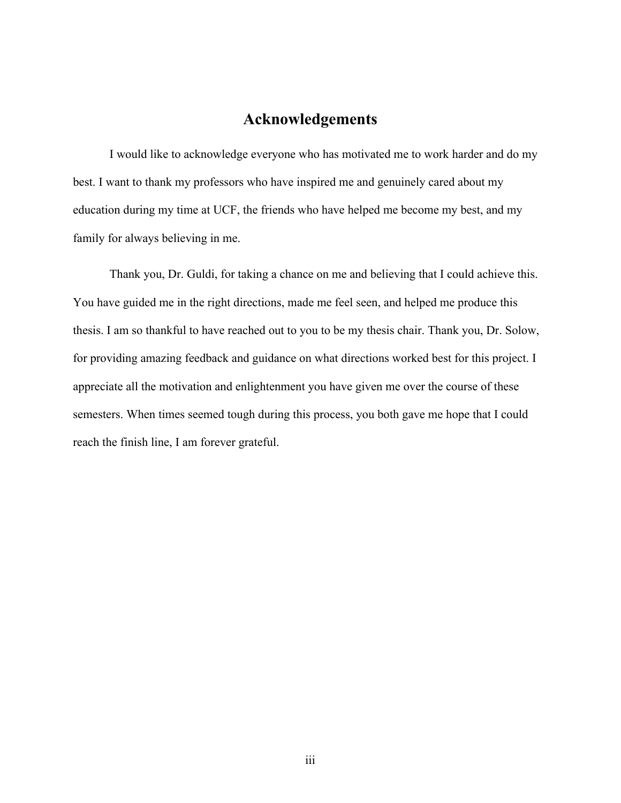## **Acknowledgements**

I would like to acknowledge everyone who has motivated me to work harder and do my best. I want to thank my professors who have inspired me and genuinely cared about my education during my time at UCF, the friends who have helped me become my best, and my family for always believing in me.

Thank you, Dr. Guldi, for taking a chance on me and believing that I could achieve this. You have guided me in the right directions, made me feel seen, and helped me produce this thesis. I am so thankful to have reached out to you to be my thesis chair. Thank you, Dr. Solow, for providing amazing feedback and guidance on what directions worked best for this project. I appreciate all the motivation and enlightenment you have given me over the course of these semesters. When times seemed tough during this process, you both gave me hope that I could reach the finish line, I am forever grateful.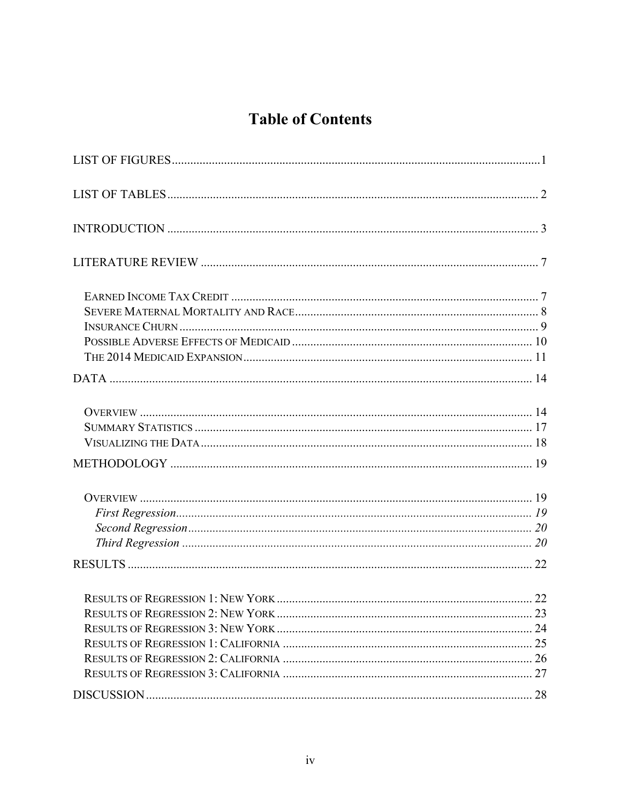# **Table of Contents**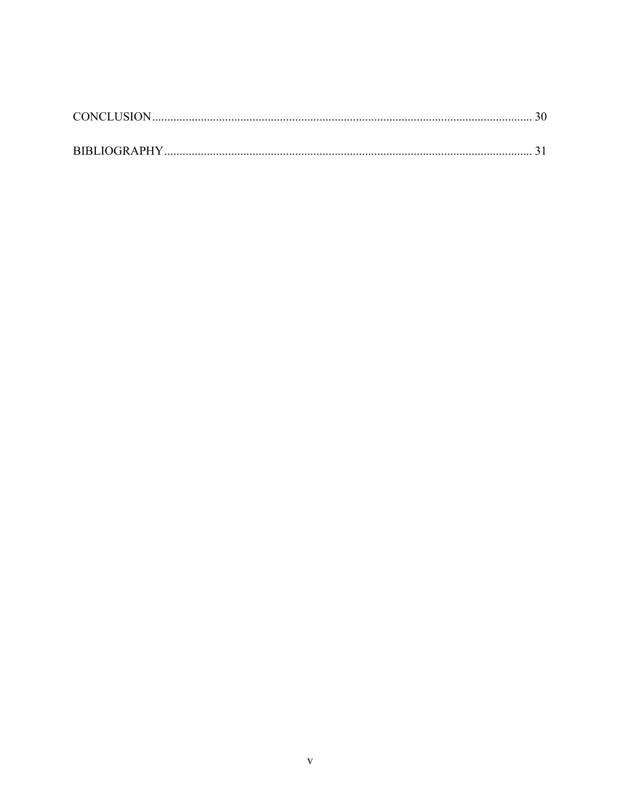| CONCLUSION. |  |
|-------------|--|
|             |  |
|             |  |
|             |  |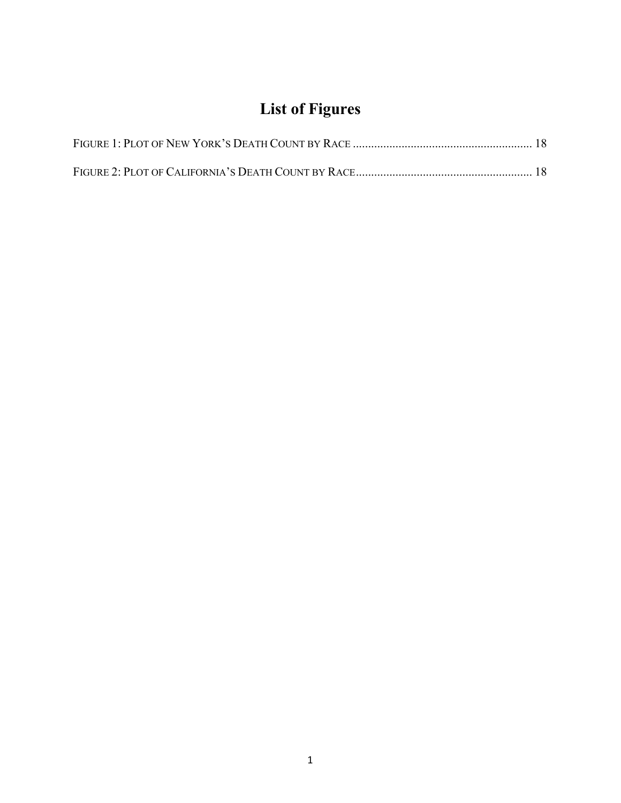# **List of Figures**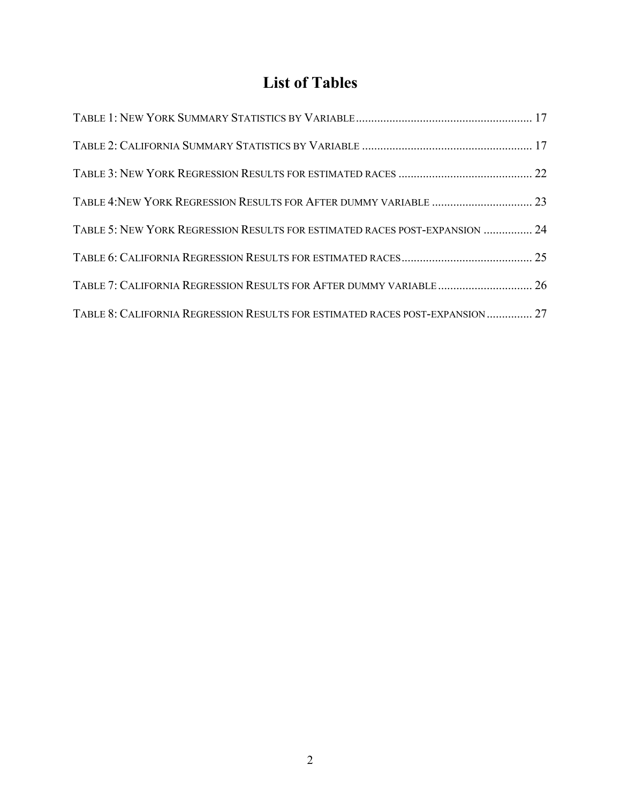# **List of Tables**

| TABLE 5: NEW YORK REGRESSION RESULTS FOR ESTIMATED RACES POST-EXPANSION  24   |  |
|-------------------------------------------------------------------------------|--|
|                                                                               |  |
| TABLE 7: CALIFORNIA REGRESSION RESULTS FOR AFTER DUMMY VARIABLE  26           |  |
| TABLE 8: CALIFORNIA REGRESSION RESULTS FOR ESTIMATED RACES POST-EXPANSION  27 |  |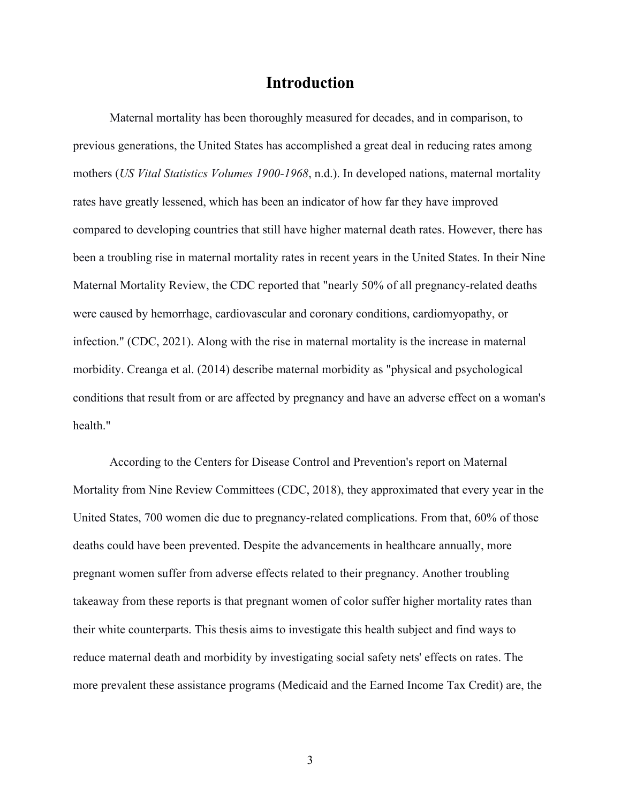## **Introduction**

Maternal mortality has been thoroughly measured for decades, and in comparison, to previous generations, the United States has accomplished a great deal in reducing rates among mothers (*US Vital Statistics Volumes 1900-1968*, n.d.). In developed nations, maternal mortality rates have greatly lessened, which has been an indicator of how far they have improved compared to developing countries that still have higher maternal death rates. However, there has been a troubling rise in maternal mortality rates in recent years in the United States. In their Nine Maternal Mortality Review, the CDC reported that "nearly 50% of all pregnancy-related deaths were caused by hemorrhage, cardiovascular and coronary conditions, cardiomyopathy, or infection." (CDC, 2021). Along with the rise in maternal mortality is the increase in maternal morbidity. Creanga et al. (2014) describe maternal morbidity as "physical and psychological conditions that result from or are affected by pregnancy and have an adverse effect on a woman's health."

According to the Centers for Disease Control and Prevention's report on Maternal Mortality from Nine Review Committees (CDC, 2018), they approximated that every year in the United States, 700 women die due to pregnancy-related complications. From that, 60% of those deaths could have been prevented. Despite the advancements in healthcare annually, more pregnant women suffer from adverse effects related to their pregnancy. Another troubling takeaway from these reports is that pregnant women of color suffer higher mortality rates than their white counterparts. This thesis aims to investigate this health subject and find ways to reduce maternal death and morbidity by investigating social safety nets' effects on rates. The more prevalent these assistance programs (Medicaid and the Earned Income Tax Credit) are, the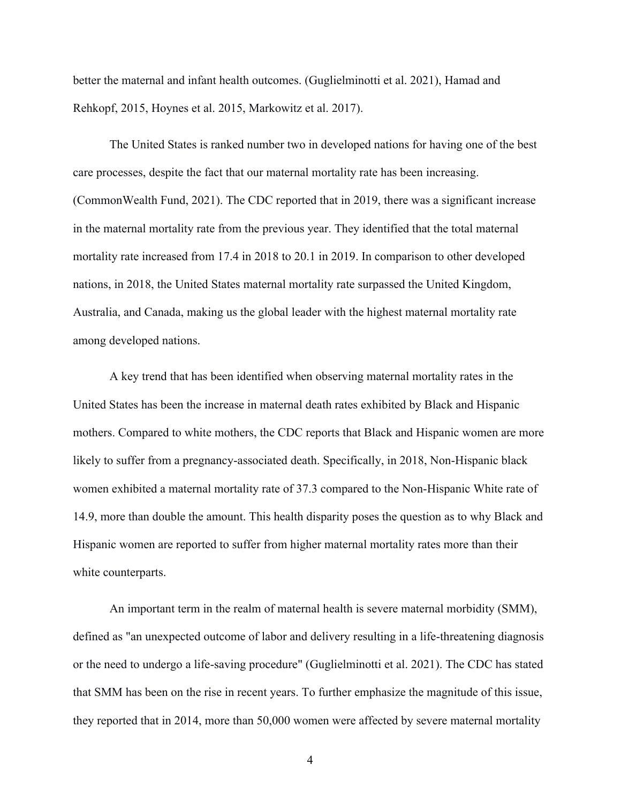better the maternal and infant health outcomes. (Guglielminotti et al. 2021), Hamad and Rehkopf, 2015, Hoynes et al. 2015, Markowitz et al. 2017).

The United States is ranked number two in developed nations for having one of the best care processes, despite the fact that our maternal mortality rate has been increasing. (CommonWealth Fund, 2021). The CDC reported that in 2019, there was a significant increase in the maternal mortality rate from the previous year. They identified that the total maternal mortality rate increased from 17.4 in 2018 to 20.1 in 2019. In comparison to other developed nations, in 2018, the United States maternal mortality rate surpassed the United Kingdom, Australia, and Canada, making us the global leader with the highest maternal mortality rate among developed nations.

A key trend that has been identified when observing maternal mortality rates in the United States has been the increase in maternal death rates exhibited by Black and Hispanic mothers. Compared to white mothers, the CDC reports that Black and Hispanic women are more likely to suffer from a pregnancy-associated death. Specifically, in 2018, Non-Hispanic black women exhibited a maternal mortality rate of 37.3 compared to the Non-Hispanic White rate of 14.9, more than double the amount. This health disparity poses the question as to why Black and Hispanic women are reported to suffer from higher maternal mortality rates more than their white counterparts.

An important term in the realm of maternal health is severe maternal morbidity (SMM), defined as "an unexpected outcome of labor and delivery resulting in a life-threatening diagnosis or the need to undergo a life-saving procedure" (Guglielminotti et al. 2021). The CDC has stated that SMM has been on the rise in recent years. To further emphasize the magnitude of this issue, they reported that in 2014, more than 50,000 women were affected by severe maternal mortality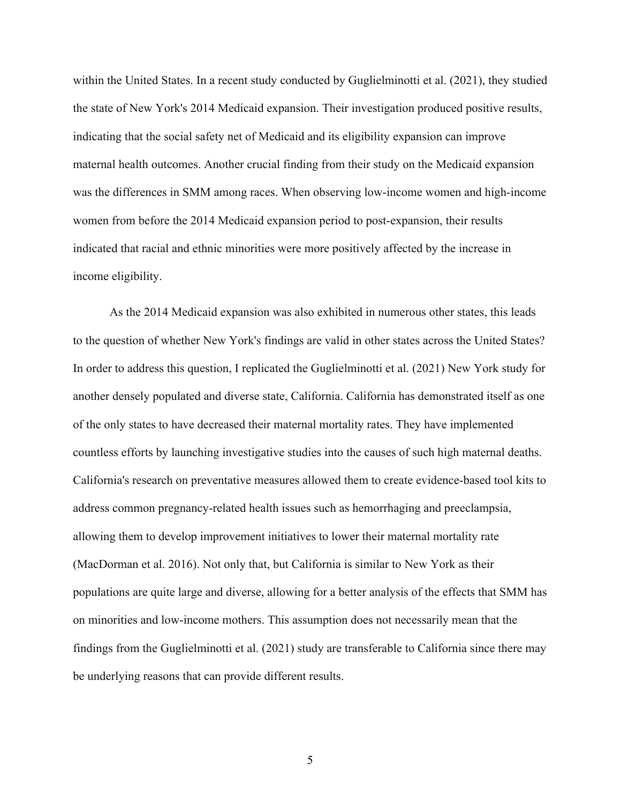within the United States. In a recent study conducted by Guglielminotti et al. (2021), they studied the state of New York's 2014 Medicaid expansion. Their investigation produced positive results, indicating that the social safety net of Medicaid and its eligibility expansion can improve maternal health outcomes. Another crucial finding from their study on the Medicaid expansion was the differences in SMM among races. When observing low-income women and high-income women from before the 2014 Medicaid expansion period to post-expansion, their results indicated that racial and ethnic minorities were more positively affected by the increase in income eligibility.

As the 2014 Medicaid expansion was also exhibited in numerous other states, this leads to the question of whether New York's findings are valid in other states across the United States? In order to address this question, I replicated the Guglielminotti et al. (2021) New York study for another densely populated and diverse state, California. California has demonstrated itself as one of the only states to have decreased their maternal mortality rates. They have implemented countless efforts by launching investigative studies into the causes of such high maternal deaths. California's research on preventative measures allowed them to create evidence-based tool kits to address common pregnancy-related health issues such as hemorrhaging and preeclampsia, allowing them to develop improvement initiatives to lower their maternal mortality rate (MacDorman et al. 2016). Not only that, but California is similar to New York as their populations are quite large and diverse, allowing for a better analysis of the effects that SMM has on minorities and low-income mothers. This assumption does not necessarily mean that the findings from the Guglielminotti et al. (2021) study are transferable to California since there may be underlying reasons that can provide different results.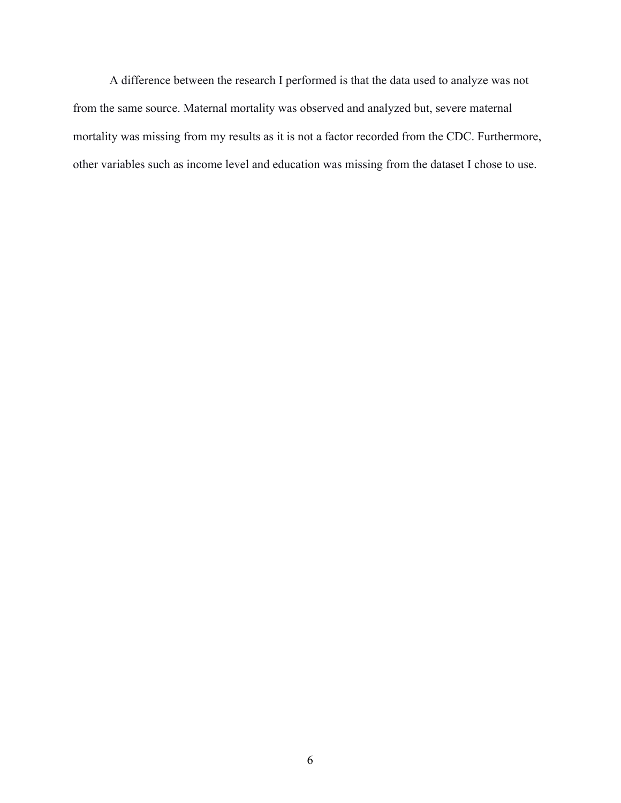A difference between the research I performed is that the data used to analyze was not from the same source. Maternal mortality was observed and analyzed but, severe maternal mortality was missing from my results as it is not a factor recorded from the CDC. Furthermore, other variables such as income level and education was missing from the dataset I chose to use.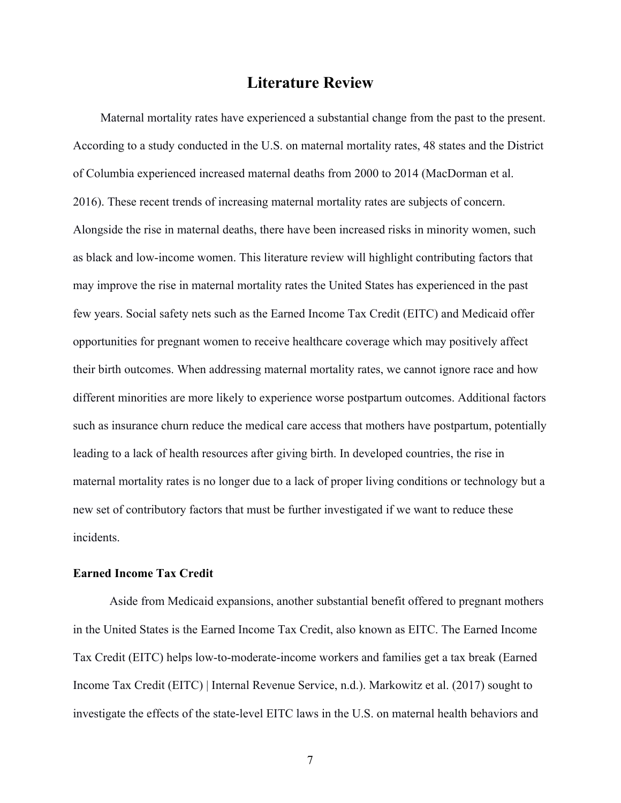# **Literature Review**

Maternal mortality rates have experienced a substantial change from the past to the present. According to a study conducted in the U.S. on maternal mortality rates, 48 states and the District of Columbia experienced increased maternal deaths from 2000 to 2014 (MacDorman et al. 2016). These recent trends of increasing maternal mortality rates are subjects of concern. Alongside the rise in maternal deaths, there have been increased risks in minority women, such as black and low-income women. This literature review will highlight contributing factors that may improve the rise in maternal mortality rates the United States has experienced in the past few years. Social safety nets such as the Earned Income Tax Credit (EITC) and Medicaid offer opportunities for pregnant women to receive healthcare coverage which may positively affect their birth outcomes. When addressing maternal mortality rates, we cannot ignore race and how different minorities are more likely to experience worse postpartum outcomes. Additional factors such as insurance churn reduce the medical care access that mothers have postpartum, potentially leading to a lack of health resources after giving birth. In developed countries, the rise in maternal mortality rates is no longer due to a lack of proper living conditions or technology but a new set of contributory factors that must be further investigated if we want to reduce these incidents.

#### **Earned Income Tax Credit**

Aside from Medicaid expansions, another substantial benefit offered to pregnant mothers in the United States is the Earned Income Tax Credit, also known as EITC. The Earned Income Tax Credit (EITC) helps low-to-moderate-income workers and families get a tax break (Earned Income Tax Credit (EITC) | Internal Revenue Service, n.d.). Markowitz et al. (2017) sought to investigate the effects of the state-level EITC laws in the U.S. on maternal health behaviors and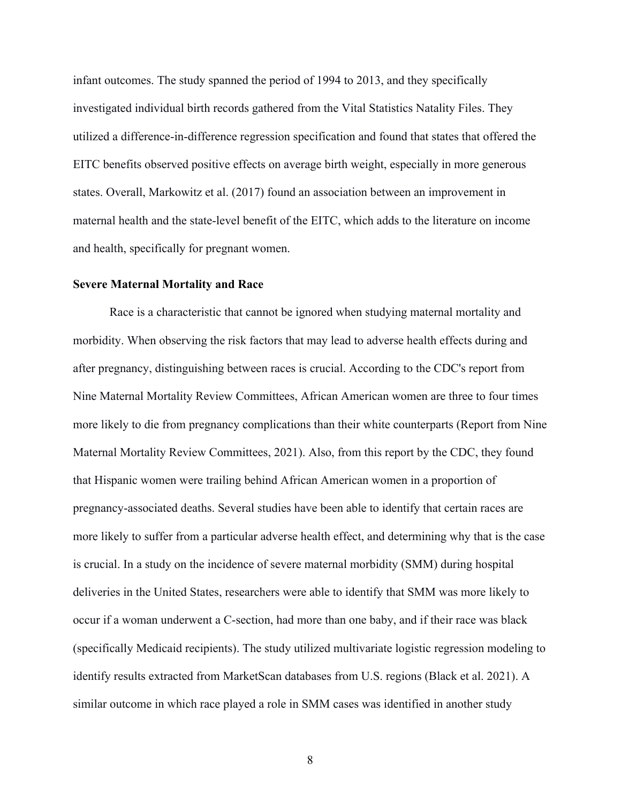infant outcomes. The study spanned the period of 1994 to 2013, and they specifically investigated individual birth records gathered from the Vital Statistics Natality Files. They utilized a difference-in-difference regression specification and found that states that offered the EITC benefits observed positive effects on average birth weight, especially in more generous states. Overall, Markowitz et al. (2017) found an association between an improvement in maternal health and the state-level benefit of the EITC, which adds to the literature on income and health, specifically for pregnant women.

#### **Severe Maternal Mortality and Race**

Race is a characteristic that cannot be ignored when studying maternal mortality and morbidity. When observing the risk factors that may lead to adverse health effects during and after pregnancy, distinguishing between races is crucial. According to the CDC's report from Nine Maternal Mortality Review Committees, African American women are three to four times more likely to die from pregnancy complications than their white counterparts (Report from Nine Maternal Mortality Review Committees, 2021). Also, from this report by the CDC, they found that Hispanic women were trailing behind African American women in a proportion of pregnancy-associated deaths. Several studies have been able to identify that certain races are more likely to suffer from a particular adverse health effect, and determining why that is the case is crucial. In a study on the incidence of severe maternal morbidity (SMM) during hospital deliveries in the United States, researchers were able to identify that SMM was more likely to occur if a woman underwent a C-section, had more than one baby, and if their race was black (specifically Medicaid recipients). The study utilized multivariate logistic regression modeling to identify results extracted from MarketScan databases from U.S. regions (Black et al. 2021). A similar outcome in which race played a role in SMM cases was identified in another study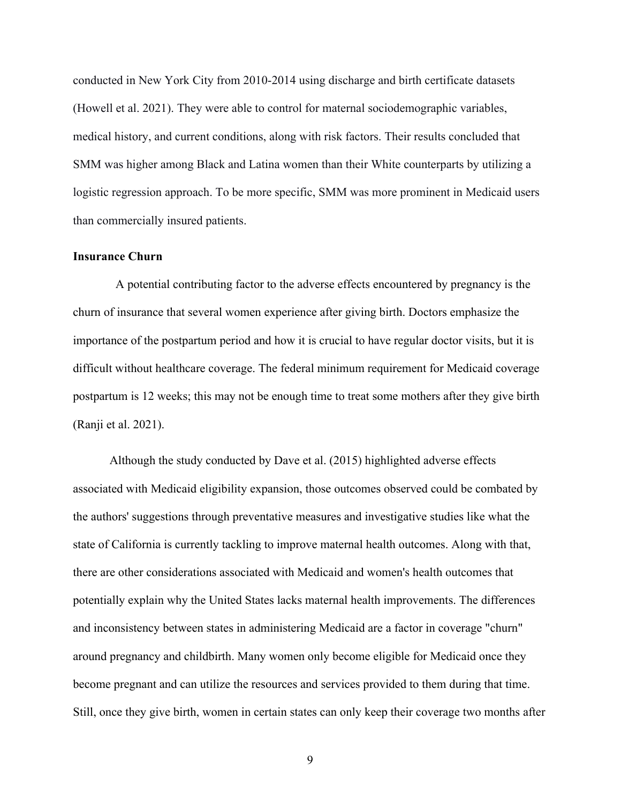conducted in New York City from 2010-2014 using discharge and birth certificate datasets (Howell et al. 2021). They were able to control for maternal sociodemographic variables, medical history, and current conditions, along with risk factors. Their results concluded that SMM was higher among Black and Latina women than their White counterparts by utilizing a logistic regression approach. To be more specific, SMM was more prominent in Medicaid users than commercially insured patients.

### **Insurance Churn**

 A potential contributing factor to the adverse effects encountered by pregnancy is the churn of insurance that several women experience after giving birth. Doctors emphasize the importance of the postpartum period and how it is crucial to have regular doctor visits, but it is difficult without healthcare coverage. The federal minimum requirement for Medicaid coverage postpartum is 12 weeks; this may not be enough time to treat some mothers after they give birth (Ranji et al. 2021).

Although the study conducted by Dave et al. (2015) highlighted adverse effects associated with Medicaid eligibility expansion, those outcomes observed could be combated by the authors' suggestions through preventative measures and investigative studies like what the state of California is currently tackling to improve maternal health outcomes. Along with that, there are other considerations associated with Medicaid and women's health outcomes that potentially explain why the United States lacks maternal health improvements. The differences and inconsistency between states in administering Medicaid are a factor in coverage "churn" around pregnancy and childbirth. Many women only become eligible for Medicaid once they become pregnant and can utilize the resources and services provided to them during that time. Still, once they give birth, women in certain states can only keep their coverage two months after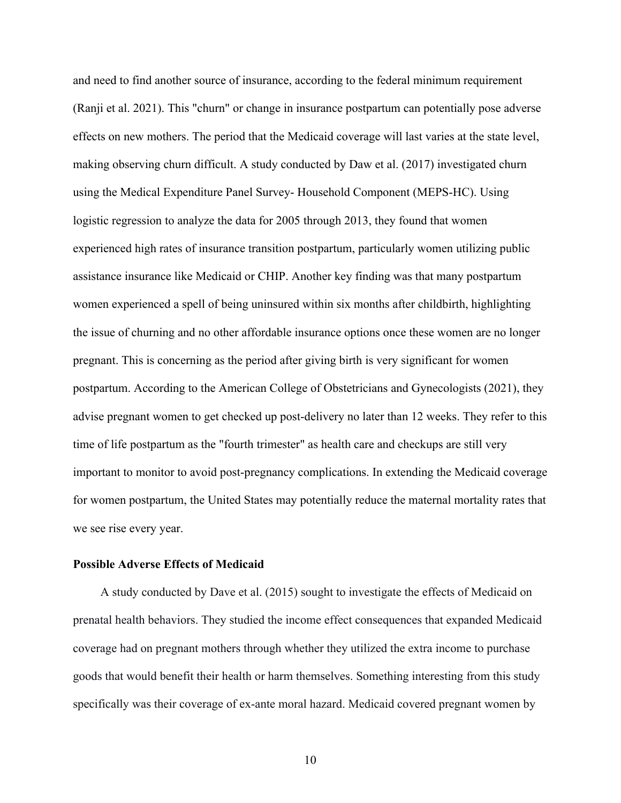and need to find another source of insurance, according to the federal minimum requirement (Ranji et al. 2021). This "churn" or change in insurance postpartum can potentially pose adverse effects on new mothers. The period that the Medicaid coverage will last varies at the state level, making observing churn difficult. A study conducted by Daw et al. (2017) investigated churn using the Medical Expenditure Panel Survey- Household Component (MEPS-HC). Using logistic regression to analyze the data for 2005 through 2013, they found that women experienced high rates of insurance transition postpartum, particularly women utilizing public assistance insurance like Medicaid or CHIP. Another key finding was that many postpartum women experienced a spell of being uninsured within six months after childbirth, highlighting the issue of churning and no other affordable insurance options once these women are no longer pregnant. This is concerning as the period after giving birth is very significant for women postpartum. According to the American College of Obstetricians and Gynecologists (2021), they advise pregnant women to get checked up post-delivery no later than 12 weeks. They refer to this time of life postpartum as the "fourth trimester" as health care and checkups are still very important to monitor to avoid post-pregnancy complications. In extending the Medicaid coverage for women postpartum, the United States may potentially reduce the maternal mortality rates that we see rise every year.

### **Possible Adverse Effects of Medicaid**

A study conducted by Dave et al. (2015) sought to investigate the effects of Medicaid on prenatal health behaviors. They studied the income effect consequences that expanded Medicaid coverage had on pregnant mothers through whether they utilized the extra income to purchase goods that would benefit their health or harm themselves. Something interesting from this study specifically was their coverage of ex-ante moral hazard. Medicaid covered pregnant women by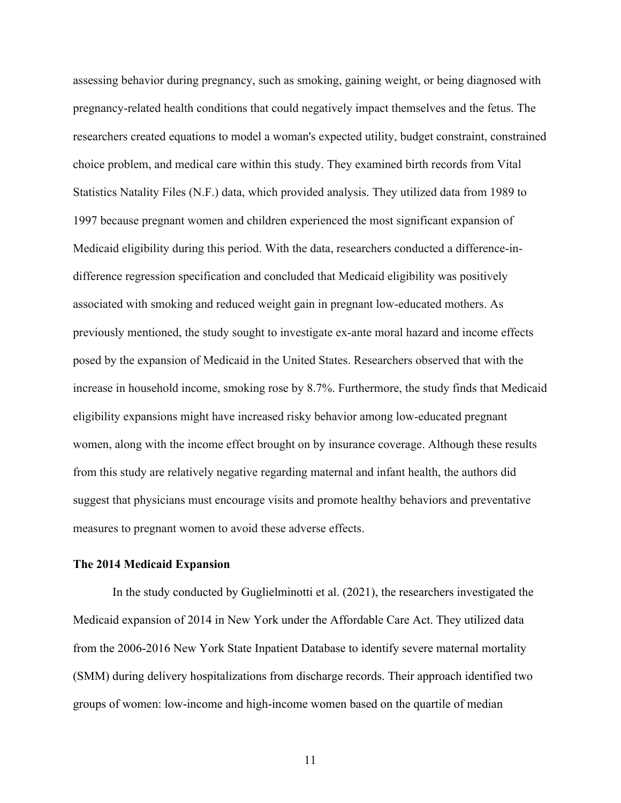assessing behavior during pregnancy, such as smoking, gaining weight, or being diagnosed with pregnancy-related health conditions that could negatively impact themselves and the fetus. The researchers created equations to model a woman's expected utility, budget constraint, constrained choice problem, and medical care within this study. They examined birth records from Vital Statistics Natality Files (N.F.) data, which provided analysis. They utilized data from 1989 to 1997 because pregnant women and children experienced the most significant expansion of Medicaid eligibility during this period. With the data, researchers conducted a difference-indifference regression specification and concluded that Medicaid eligibility was positively associated with smoking and reduced weight gain in pregnant low-educated mothers. As previously mentioned, the study sought to investigate ex-ante moral hazard and income effects posed by the expansion of Medicaid in the United States. Researchers observed that with the increase in household income, smoking rose by 8.7%. Furthermore, the study finds that Medicaid eligibility expansions might have increased risky behavior among low-educated pregnant women, along with the income effect brought on by insurance coverage. Although these results from this study are relatively negative regarding maternal and infant health, the authors did suggest that physicians must encourage visits and promote healthy behaviors and preventative measures to pregnant women to avoid these adverse effects.

#### **The 2014 Medicaid Expansion**

In the study conducted by Guglielminotti et al. (2021), the researchers investigated the Medicaid expansion of 2014 in New York under the Affordable Care Act. They utilized data from the 2006-2016 New York State Inpatient Database to identify severe maternal mortality (SMM) during delivery hospitalizations from discharge records. Their approach identified two groups of women: low-income and high-income women based on the quartile of median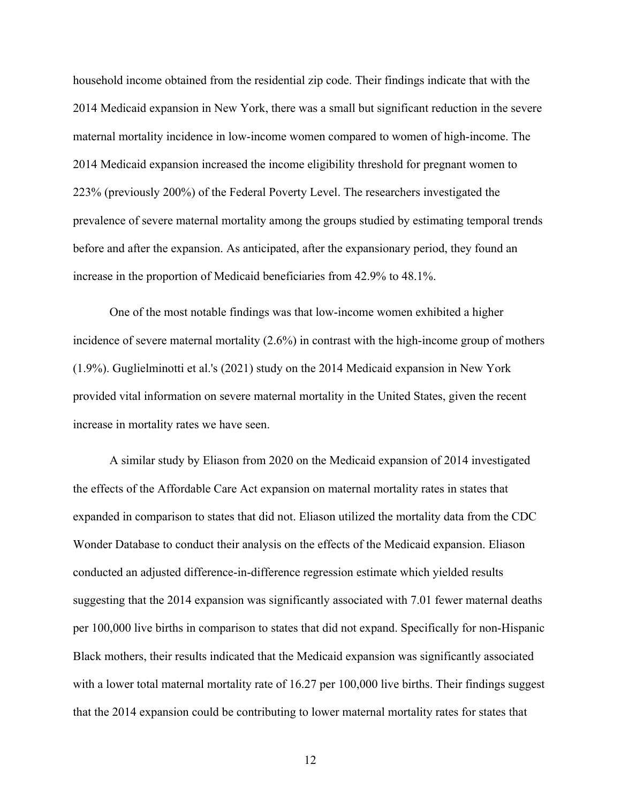household income obtained from the residential zip code. Their findings indicate that with the 2014 Medicaid expansion in New York, there was a small but significant reduction in the severe maternal mortality incidence in low-income women compared to women of high-income. The 2014 Medicaid expansion increased the income eligibility threshold for pregnant women to 223% (previously 200%) of the Federal Poverty Level. The researchers investigated the prevalence of severe maternal mortality among the groups studied by estimating temporal trends before and after the expansion. As anticipated, after the expansionary period, they found an increase in the proportion of Medicaid beneficiaries from 42.9% to 48.1%.

One of the most notable findings was that low-income women exhibited a higher incidence of severe maternal mortality (2.6%) in contrast with the high-income group of mothers (1.9%). Guglielminotti et al.'s (2021) study on the 2014 Medicaid expansion in New York provided vital information on severe maternal mortality in the United States, given the recent increase in mortality rates we have seen.

A similar study by Eliason from 2020 on the Medicaid expansion of 2014 investigated the effects of the Affordable Care Act expansion on maternal mortality rates in states that expanded in comparison to states that did not. Eliason utilized the mortality data from the CDC Wonder Database to conduct their analysis on the effects of the Medicaid expansion. Eliason conducted an adjusted difference-in-difference regression estimate which yielded results suggesting that the 2014 expansion was significantly associated with 7.01 fewer maternal deaths per 100,000 live births in comparison to states that did not expand. Specifically for non-Hispanic Black mothers, their results indicated that the Medicaid expansion was significantly associated with a lower total maternal mortality rate of 16.27 per 100,000 live births. Their findings suggest that the 2014 expansion could be contributing to lower maternal mortality rates for states that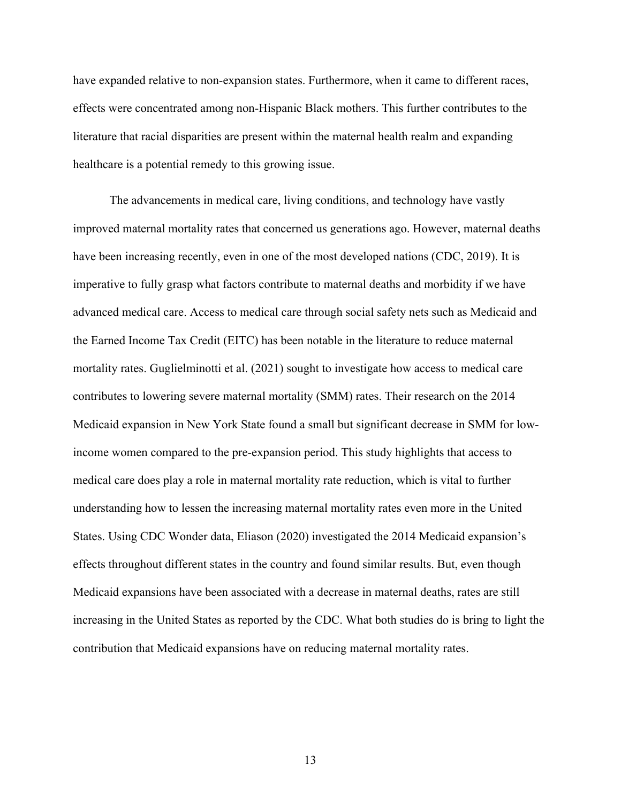have expanded relative to non-expansion states. Furthermore, when it came to different races, effects were concentrated among non-Hispanic Black mothers. This further contributes to the literature that racial disparities are present within the maternal health realm and expanding healthcare is a potential remedy to this growing issue.

The advancements in medical care, living conditions, and technology have vastly improved maternal mortality rates that concerned us generations ago. However, maternal deaths have been increasing recently, even in one of the most developed nations (CDC, 2019). It is imperative to fully grasp what factors contribute to maternal deaths and morbidity if we have advanced medical care. Access to medical care through social safety nets such as Medicaid and the Earned Income Tax Credit (EITC) has been notable in the literature to reduce maternal mortality rates. Guglielminotti et al. (2021) sought to investigate how access to medical care contributes to lowering severe maternal mortality (SMM) rates. Their research on the 2014 Medicaid expansion in New York State found a small but significant decrease in SMM for lowincome women compared to the pre-expansion period. This study highlights that access to medical care does play a role in maternal mortality rate reduction, which is vital to further understanding how to lessen the increasing maternal mortality rates even more in the United States. Using CDC Wonder data, Eliason (2020) investigated the 2014 Medicaid expansion's effects throughout different states in the country and found similar results. But, even though Medicaid expansions have been associated with a decrease in maternal deaths, rates are still increasing in the United States as reported by the CDC. What both studies do is bring to light the contribution that Medicaid expansions have on reducing maternal mortality rates.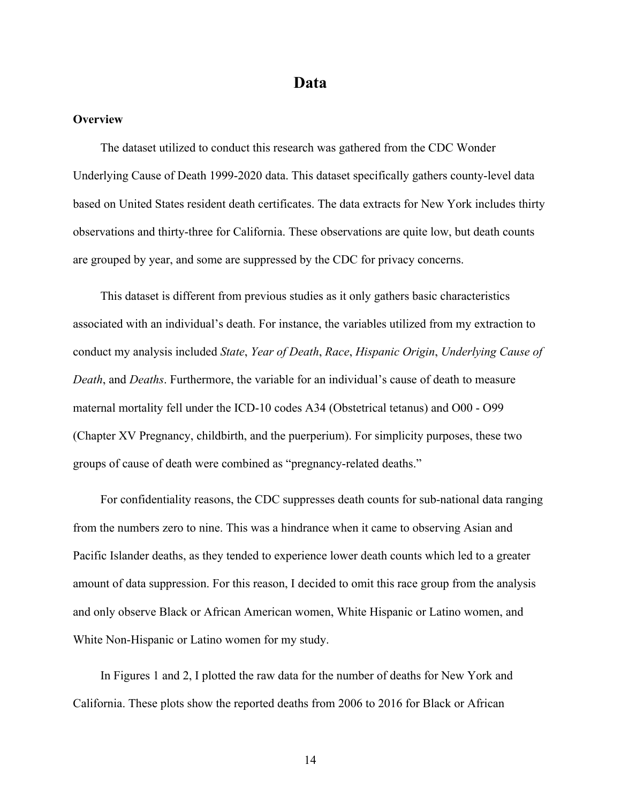### **Data**

### **Overview**

The dataset utilized to conduct this research was gathered from the CDC Wonder Underlying Cause of Death 1999-2020 data. This dataset specifically gathers county-level data based on United States resident death certificates. The data extracts for New York includes thirty observations and thirty-three for California. These observations are quite low, but death counts are grouped by year, and some are suppressed by the CDC for privacy concerns.

This dataset is different from previous studies as it only gathers basic characteristics associated with an individual's death. For instance, the variables utilized from my extraction to conduct my analysis included *State*, *Year of Death*, *Race*, *Hispanic Origin*, *Underlying Cause of Death*, and *Deaths*. Furthermore, the variable for an individual's cause of death to measure maternal mortality fell under the ICD-10 codes A34 (Obstetrical tetanus) and O00 - O99 (Chapter XV Pregnancy, childbirth, and the puerperium). For simplicity purposes, these two groups of cause of death were combined as "pregnancy-related deaths."

For confidentiality reasons, the CDC suppresses death counts for sub-national data ranging from the numbers zero to nine. This was a hindrance when it came to observing Asian and Pacific Islander deaths, as they tended to experience lower death counts which led to a greater amount of data suppression. For this reason, I decided to omit this race group from the analysis and only observe Black or African American women, White Hispanic or Latino women, and White Non-Hispanic or Latino women for my study.

In Figures 1 and 2, I plotted the raw data for the number of deaths for New York and California. These plots show the reported deaths from 2006 to 2016 for Black or African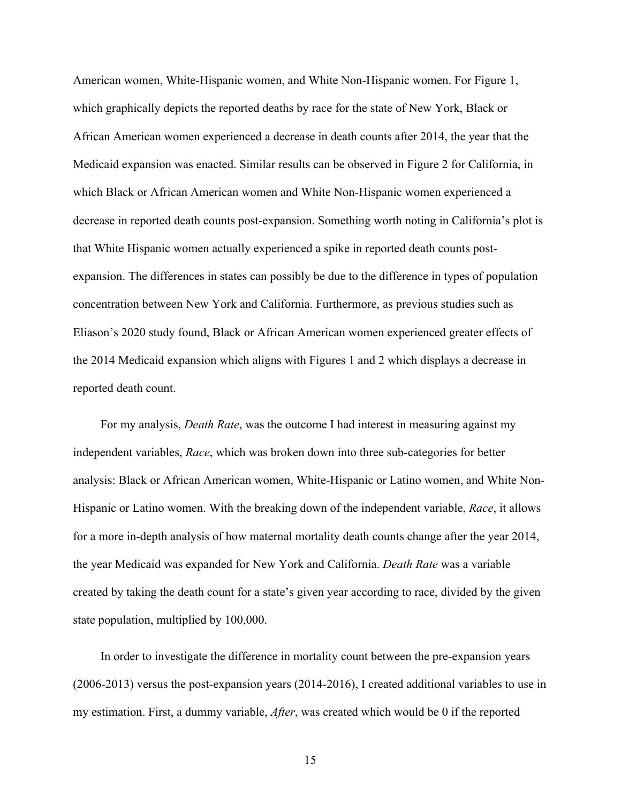American women, White-Hispanic women, and White Non-Hispanic women. For Figure 1, which graphically depicts the reported deaths by race for the state of New York, Black or African American women experienced a decrease in death counts after 2014, the year that the Medicaid expansion was enacted. Similar results can be observed in Figure 2 for California, in which Black or African American women and White Non-Hispanic women experienced a decrease in reported death counts post-expansion. Something worth noting in California's plot is that White Hispanic women actually experienced a spike in reported death counts postexpansion. The differences in states can possibly be due to the difference in types of population concentration between New York and California. Furthermore, as previous studies such as Eliason's 2020 study found, Black or African American women experienced greater effects of the 2014 Medicaid expansion which aligns with Figures 1 and 2 which displays a decrease in reported death count.

For my analysis, *Death Rate*, was the outcome I had interest in measuring against my independent variables, *Race*, which was broken down into three sub-categories for better analysis: Black or African American women, White-Hispanic or Latino women, and White Non-Hispanic or Latino women. With the breaking down of the independent variable, *Race*, it allows for a more in-depth analysis of how maternal mortality death counts change after the year 2014, the year Medicaid was expanded for New York and California. *Death Rate* was a variable created by taking the death count for a state's given year according to race, divided by the given state population, multiplied by 100,000.

In order to investigate the difference in mortality count between the pre-expansion years (2006-2013) versus the post-expansion years (2014-2016), I created additional variables to use in my estimation. First, a dummy variable, *After*, was created which would be 0 if the reported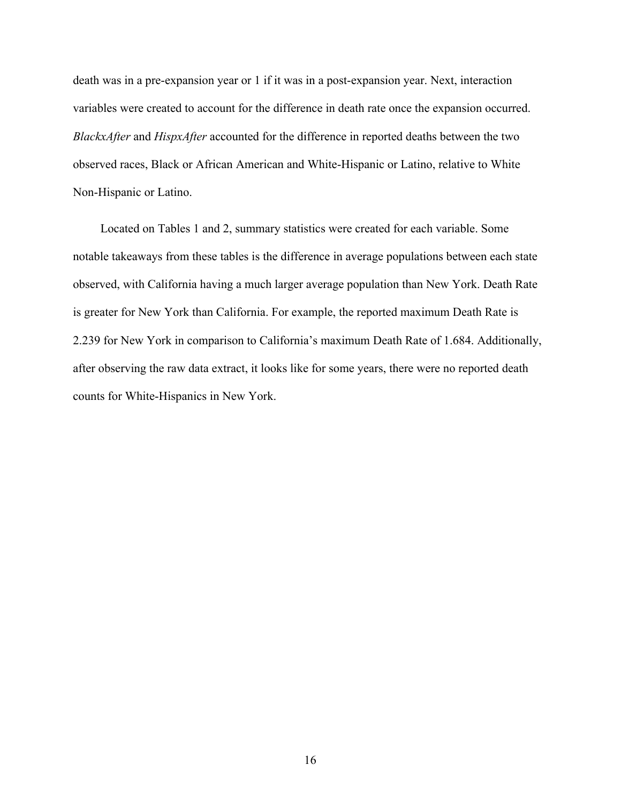death was in a pre-expansion year or 1 if it was in a post-expansion year. Next, interaction variables were created to account for the difference in death rate once the expansion occurred. *BlackxAfter* and *HispxAfter* accounted for the difference in reported deaths between the two observed races, Black or African American and White-Hispanic or Latino, relative to White Non-Hispanic or Latino.

Located on Tables 1 and 2, summary statistics were created for each variable. Some notable takeaways from these tables is the difference in average populations between each state observed, with California having a much larger average population than New York. Death Rate is greater for New York than California. For example, the reported maximum Death Rate is 2.239 for New York in comparison to California's maximum Death Rate of 1.684. Additionally, after observing the raw data extract, it looks like for some years, there were no reported death counts for White-Hispanics in New York.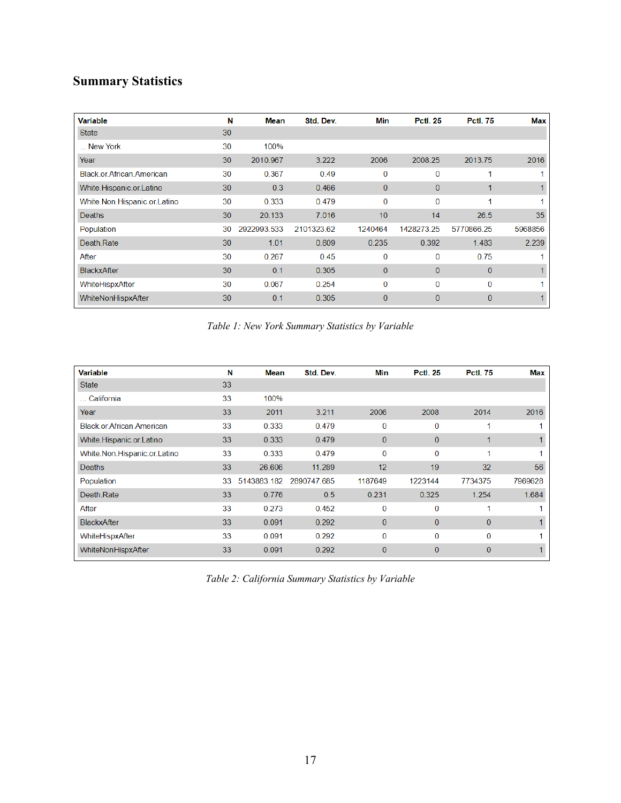# **Summary Statistics**

| Variable                         | N  | Mean        | Std. Dev.  | Min          | <b>Pctl. 25</b> | <b>Pctl. 75</b> | <b>Max</b> |
|----------------------------------|----|-------------|------------|--------------|-----------------|-----------------|------------|
| <b>State</b>                     | 30 |             |            |              |                 |                 |            |
| New York                         | 30 | 100%        |            |              |                 |                 |            |
| Year                             | 30 | 2010.967    | 3.222      | 2006         | 2008.25         | 2013.75         | 2016       |
| <b>Black or African American</b> | 30 | 0.367       | 0.49       | 0            | 0               |                 |            |
| White.Hispanic.or.Latino         | 30 | 0.3         | 0.466      | $\Omega$     | $\Omega$        |                 |            |
| White.Non.Hispanic.or.Latino     | 30 | 0.333       | 0.479      | 0            | 0               |                 |            |
| <b>Deaths</b>                    | 30 | 20.133      | 7.016      | 10           | 14              | 26.5            | 35         |
| Population                       | 30 | 2922993.533 | 2101323.62 | 1240464      | 1428273.25      | 5770866.25      | 5968856    |
| Death Rate                       | 30 | 1.01        | 0.609      | 0.235        | 0.392           | 1.483           | 2.239      |
| After                            | 30 | 0.267       | 0.45       | 0            | 0               | 0.75            |            |
| BlackxAfter                      | 30 | 0.1         | 0.305      | $\Omega$     | $\Omega$        | $\mathbf{0}$    |            |
| WhiteHispxAfter                  | 30 | 0.067       | 0.254      | $\Omega$     | $\Omega$        | $\Omega$        |            |
| WhiteNonHispxAfter               | 30 | 0.1         | 0.305      | $\mathbf{0}$ | $\mathbf{0}$    | $\mathbf{0}$    |            |

*Table 1: New York Summary Statistics by Variable*

| <b>Variable</b>                  | N  | Mean        | Std. Dev.   | Min          | <b>Pctl. 25</b> | <b>Pctl. 75</b> | <b>Max</b> |
|----------------------------------|----|-------------|-------------|--------------|-----------------|-----------------|------------|
| <b>State</b>                     | 33 |             |             |              |                 |                 |            |
| California                       | 33 | 100%        |             |              |                 |                 |            |
| Year                             | 33 | 2011        | 3.211       | 2006         | 2008            | 2014            | 2016       |
| <b>Black or African American</b> | 33 | 0.333       | 0.479       | 0            | 0               | 1               |            |
| White.Hispanic.or.Latino         | 33 | 0.333       | 0.479       | $\mathbf{0}$ | $\mathbf{0}$    | 1               |            |
| White.Non.Hispanic.or.Latino     | 33 | 0.333       | 0.479       | $\bf{0}$     | 0               | 1               | 4          |
| <b>Deaths</b>                    | 33 | 26.606      | 11.289      | 12           | 19              | 32              | 56         |
| Population                       | 33 | 5143883.182 | 2890747.685 | 1187649      | 1223144         | 7734375         | 7969628    |
| Death Rate                       | 33 | 0.776       | 0.5         | 0.231        | 0.325           | 1.254           | 1.684      |
| After                            | 33 | 0.273       | 0.452       | 0            | $\Omega$        | 1               |            |
| BlackxAfter                      | 33 | 0.091       | 0.292       | $\mathbf{0}$ | $\mathbf{0}$    | $\mathbf{0}$    | 1          |
| WhiteHispxAfter                  | 33 | 0.091       | 0.292       | $\mathbf{0}$ | $\Omega$        | $\Omega$        |            |
| WhiteNonHispxAfter               | 33 | 0.091       | 0.292       | $\mathbf{0}$ | $\mathbf{0}$    | $\mathbf{0}$    |            |
|                                  |    |             |             |              |                 |                 |            |

*Table 2: California Summary Statistics by Variable*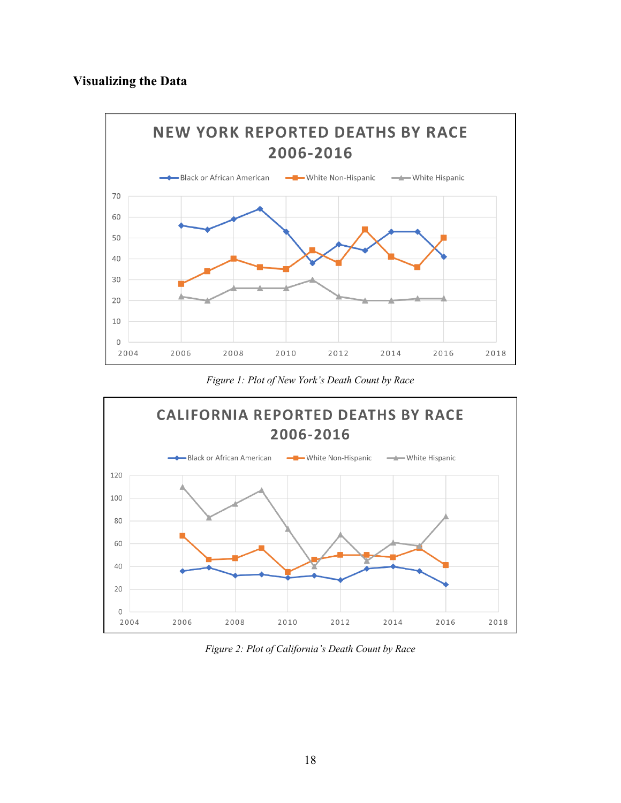### **Visualizing the Data**



*Figure 1: Plot of New York's Death Count by Race*



*Figure 2: Plot of California's Death Count by Race*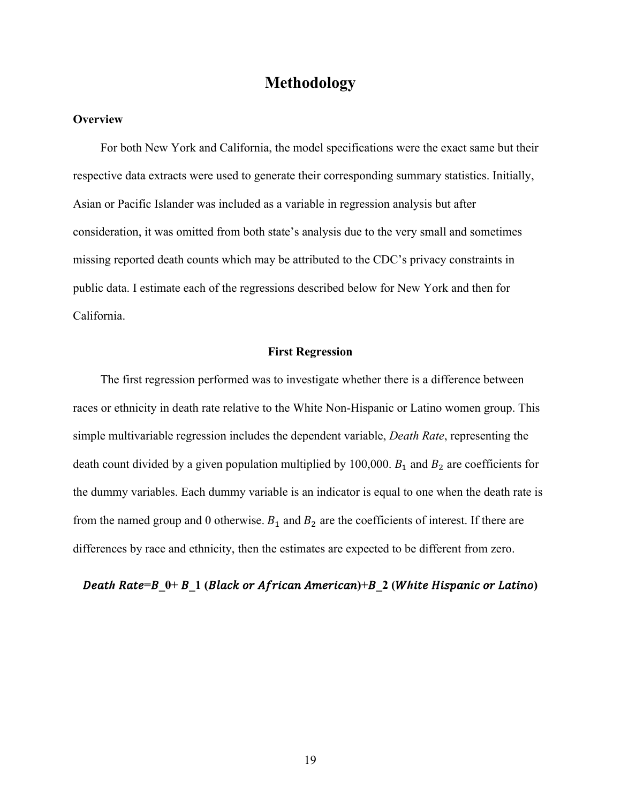### **Methodology**

### **Overview**

For both New York and California, the model specifications were the exact same but their respective data extracts were used to generate their corresponding summary statistics. Initially, Asian or Pacific Islander was included as a variable in regression analysis but after consideration, it was omitted from both state's analysis due to the very small and sometimes missing reported death counts which may be attributed to the CDC's privacy constraints in public data. I estimate each of the regressions described below for New York and then for California.

### **First Regression**

The first regression performed was to investigate whether there is a difference between races or ethnicity in death rate relative to the White Non-Hispanic or Latino women group. This simple multivariable regression includes the dependent variable, *Death Rate*, representing the death count divided by a given population multiplied by 100,000.  $B_1$  and  $B_2$  are coefficients for the dummy variables. Each dummy variable is an indicator is equal to one when the death rate is from the named group and 0 otherwise.  $B_1$  and  $B_2$  are the coefficients of interest. If there are differences by race and ethnicity, then the estimates are expected to be different from zero.

**Death Rate=B**  $0+ B$  **1** (Black or African American)+B 2 (White Hispanic or Latino)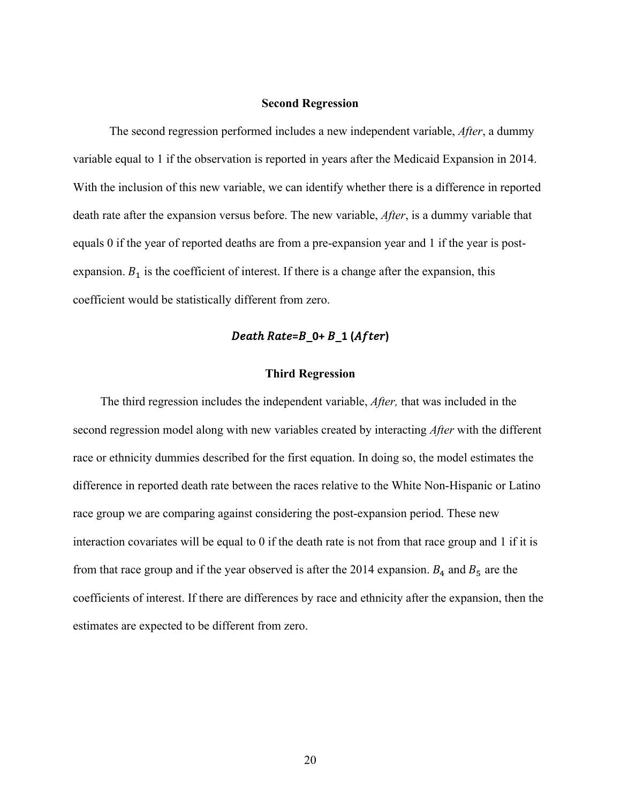### **Second Regression**

The second regression performed includes a new independent variable, *After*, a dummy variable equal to 1 if the observation is reported in years after the Medicaid Expansion in 2014. With the inclusion of this new variable, we can identify whether there is a difference in reported death rate after the expansion versus before. The new variable, *After*, is a dummy variable that equals 0 if the year of reported deaths are from a pre-expansion year and 1 if the year is postexpansion.  $B_1$  is the coefficient of interest. If there is a change after the expansion, this coefficient would be statistically different from zero.

### **Death Rate=B\_0+ B\_1 (After)**

### **Third Regression**

The third regression includes the independent variable, *After,* that was included in the second regression model along with new variables created by interacting *After* with the different race or ethnicity dummies described for the first equation. In doing so, the model estimates the difference in reported death rate between the races relative to the White Non-Hispanic or Latino race group we are comparing against considering the post-expansion period. These new interaction covariates will be equal to 0 if the death rate is not from that race group and 1 if it is from that race group and if the year observed is after the 2014 expansion.  $B_4$  and  $B_5$  are the coefficients of interest. If there are differences by race and ethnicity after the expansion, then the estimates are expected to be different from zero.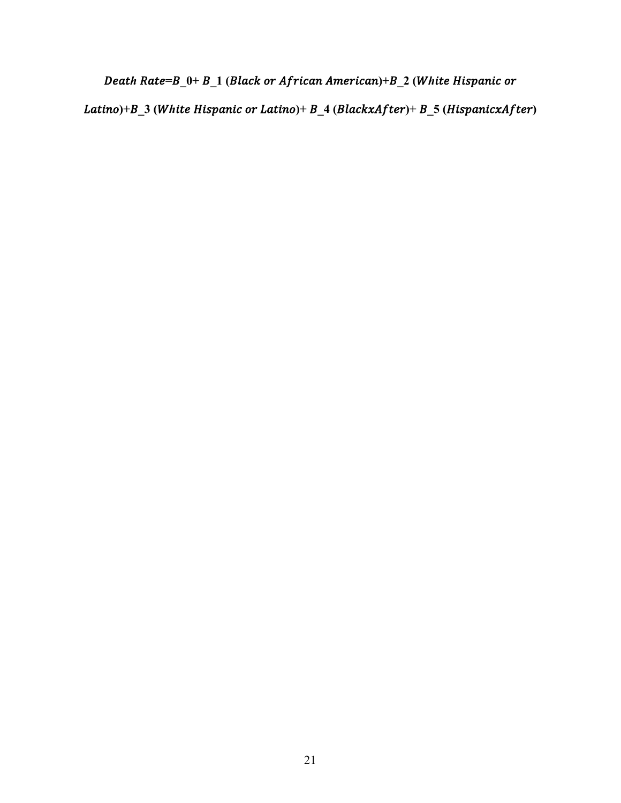**Death Rate=B\_0+ B\_1 (Black or African American)+B\_2 (White Hispanic or** 

Latino)+B\_3 (White Hispanic or Latino)+ B\_4 (BlackxAfter)+ B\_5 (HispanicxAfter)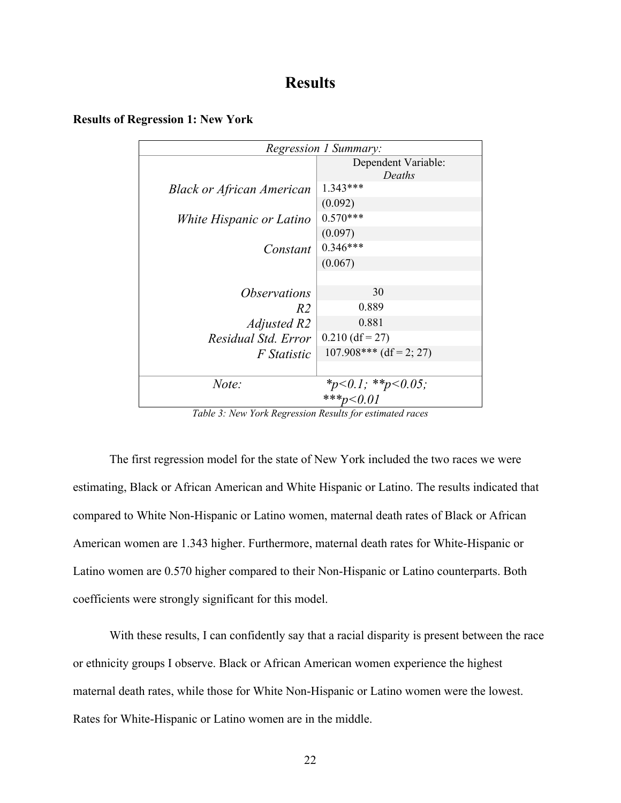# **Results**

| Regression 1 Summary:            |                               |  |
|----------------------------------|-------------------------------|--|
|                                  | Dependent Variable:<br>Deaths |  |
| <b>Black or African American</b> | $1.343***$                    |  |
|                                  | (0.092)                       |  |
| White Hispanic or Latino         | $0.570***$                    |  |
|                                  | (0.097)                       |  |
| Constant                         | $0.346***$                    |  |
|                                  | (0.067)                       |  |
|                                  |                               |  |
| <i><b>Observations</b></i>       | 30                            |  |
| R2                               | 0.889                         |  |
| Adjusted R2                      | 0.881                         |  |
| Residual Std. Error              | $0.210$ (df = 27)             |  |
| <i>F</i> Statistic               | $107.908***$ (df = 2; 27)     |  |
|                                  |                               |  |
| Note:                            | *p<0.1; **p<0.05;             |  |
|                                  | ***p<0.01                     |  |

#### **Results of Regression 1: New York**

*Table 3: New York Regression Results for estimated races*

The first regression model for the state of New York included the two races we were estimating, Black or African American and White Hispanic or Latino. The results indicated that compared to White Non-Hispanic or Latino women, maternal death rates of Black or African American women are 1.343 higher. Furthermore, maternal death rates for White-Hispanic or Latino women are 0.570 higher compared to their Non-Hispanic or Latino counterparts. Both coefficients were strongly significant for this model.

With these results, I can confidently say that a racial disparity is present between the race or ethnicity groups I observe. Black or African American women experience the highest maternal death rates, while those for White Non-Hispanic or Latino women were the lowest. Rates for White-Hispanic or Latino women are in the middle.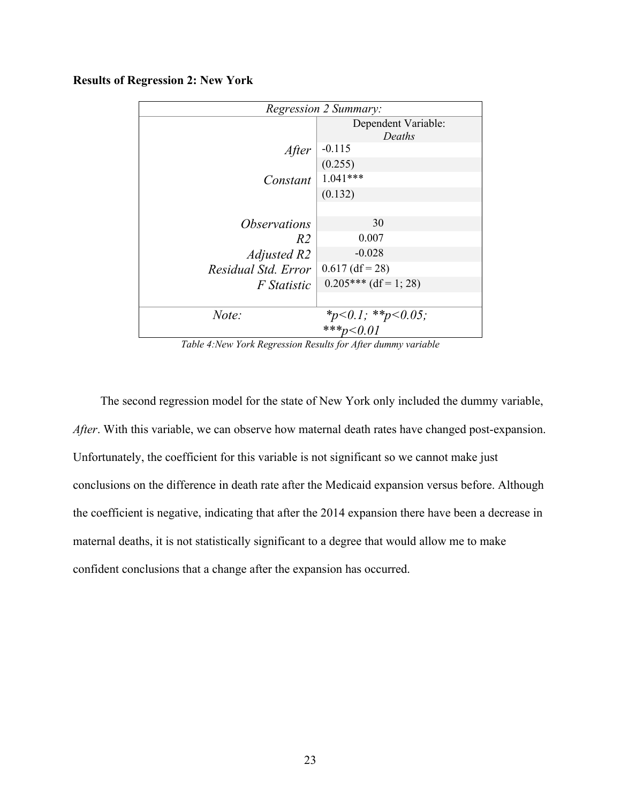### **Results of Regression 2: New York**

| <b>Regression 2 Summary:</b> |                                |  |
|------------------------------|--------------------------------|--|
|                              | Dependent Variable:            |  |
|                              | Deaths                         |  |
| After                        | $-0.115$                       |  |
|                              | (0.255)                        |  |
| <i>Constant</i>   $1.041***$ |                                |  |
|                              | (0.132)                        |  |
|                              |                                |  |
| <i><b>Observations</b></i>   | 30                             |  |
| R <sub>2</sub>               | 0.007                          |  |
| Adjusted R2                  | $-0.028$                       |  |
| Residual Std. Error          | $0.617$ (df = 28)              |  |
| <i>F</i> Statistic           | $0.205***$ (df = 1; 28)        |  |
|                              |                                |  |
| Note:                        |                                |  |
|                              | *p<0.1; **p<0.05;<br>***p<0.01 |  |

*Table 4:New York Regression Results for After dummy variable*

The second regression model for the state of New York only included the dummy variable, *After*. With this variable, we can observe how maternal death rates have changed post-expansion. Unfortunately, the coefficient for this variable is not significant so we cannot make just conclusions on the difference in death rate after the Medicaid expansion versus before. Although the coefficient is negative, indicating that after the 2014 expansion there have been a decrease in maternal deaths, it is not statistically significant to a degree that would allow me to make confident conclusions that a change after the expansion has occurred.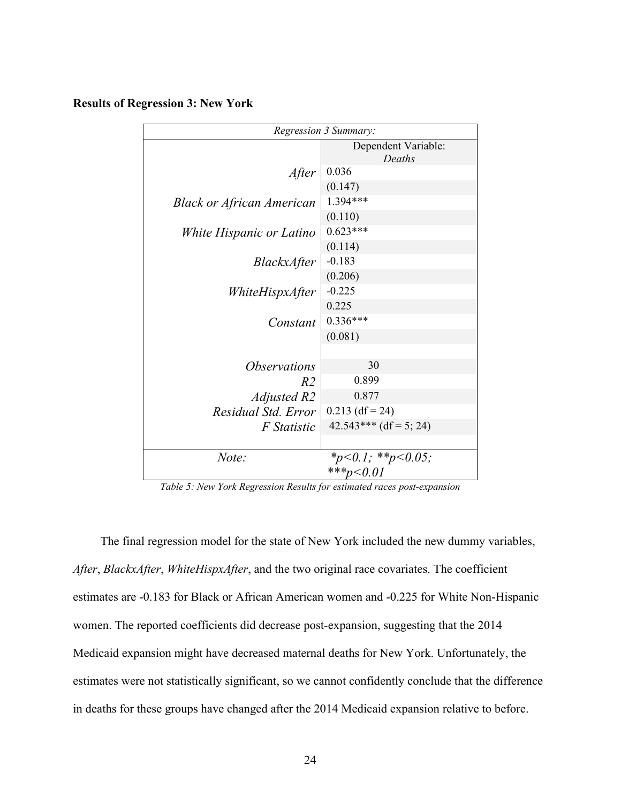### **Results of Regression 3: New York**

| Regression 3 Summary:            |                               |  |
|----------------------------------|-------------------------------|--|
|                                  | Dependent Variable:<br>Deaths |  |
| After                            | 0.036                         |  |
|                                  | (0.147)                       |  |
| <b>Black or African American</b> | 1.394***                      |  |
|                                  | (0.110)                       |  |
| White Hispanic or Latino         | $0.623***$                    |  |
|                                  | (0.114)                       |  |
| <i>BlackxAfter</i>               | $-0.183$                      |  |
|                                  | (0.206)                       |  |
| WhiteHispxAfter                  | $-0.225$                      |  |
|                                  | 0.225                         |  |
| Constant                         | $0.336***$                    |  |
|                                  | (0.081)                       |  |
|                                  |                               |  |
| <i><b>Observations</b></i>       | 30                            |  |
| R2                               | 0.899                         |  |
| Adjusted R2                      | 0.877                         |  |
| Residual Std. Error              | $0.213$ (df = 24)             |  |
| F Statistic                      | $42.543***$ (df = 5; 24)      |  |
|                                  |                               |  |
| Note:                            | *p<0.1; **p<0.05;             |  |
|                                  | ***p<0.01                     |  |

*Table 5: New York Regression Results for estimated races post-expansion*

The final regression model for the state of New York included the new dummy variables, *After*, *BlackxAfter*, *WhiteHispxAfter*, and the two original race covariates. The coefficient estimates are -0.183 for Black or African American women and -0.225 for White Non-Hispanic women. The reported coefficients did decrease post-expansion, suggesting that the 2014 Medicaid expansion might have decreased maternal deaths for New York. Unfortunately, the estimates were not statistically significant, so we cannot confidently conclude that the difference in deaths for these groups have changed after the 2014 Medicaid expansion relative to before.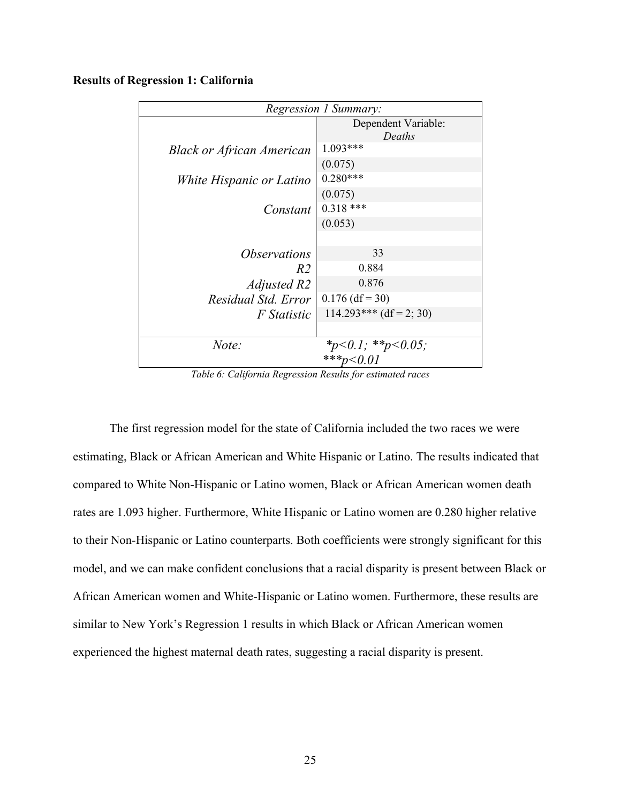### **Results of Regression 1: California**

| Regression 1 Summary:            |                               |  |
|----------------------------------|-------------------------------|--|
|                                  | Dependent Variable:<br>Deaths |  |
| <b>Black or African American</b> | 1.093***                      |  |
|                                  | (0.075)                       |  |
| White Hispanic or Latino         | $0.280***$                    |  |
|                                  | (0.075)                       |  |
| Constant                         | $0.318$ ***                   |  |
|                                  | (0.053)                       |  |
|                                  |                               |  |
| <i><b>Observations</b></i>       | 33                            |  |
| R2                               | 0.884                         |  |
| Adjusted R2                      | 0.876                         |  |
| Residual Std. Error              | $0.176$ (df = 30)             |  |
| <i>F</i> Statistic               | $114.293***$ (df = 2; 30)     |  |
|                                  |                               |  |
| Note:                            | * $p<0.1$ ; ** $p<0.05$ ;     |  |
|                                  | ***p<0.01                     |  |

*Table 6: California Regression Results for estimated races*

The first regression model for the state of California included the two races we were estimating, Black or African American and White Hispanic or Latino. The results indicated that compared to White Non-Hispanic or Latino women, Black or African American women death rates are 1.093 higher. Furthermore, White Hispanic or Latino women are 0.280 higher relative to their Non-Hispanic or Latino counterparts. Both coefficients were strongly significant for this model, and we can make confident conclusions that a racial disparity is present between Black or African American women and White-Hispanic or Latino women. Furthermore, these results are similar to New York's Regression 1 results in which Black or African American women experienced the highest maternal death rates, suggesting a racial disparity is present.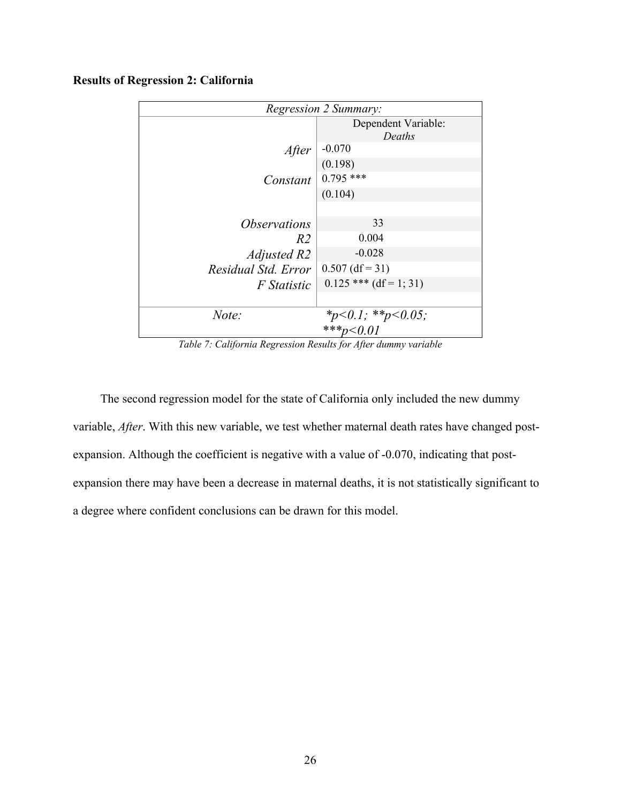| <b>Regression 2 Summary:</b> |                                |  |
|------------------------------|--------------------------------|--|
|                              | Dependent Variable:            |  |
|                              | Deaths                         |  |
| After                        | $-0.070$                       |  |
|                              | (0.198)                        |  |
| Constant                     | $0.795$ ***                    |  |
|                              | (0.104)                        |  |
|                              |                                |  |
| <i><b>Observations</b></i>   | 33                             |  |
| R <sub>2</sub>               | 0.004                          |  |
| Adjusted R2                  | $-0.028$                       |  |
| Residual Std. Error          | $0.507$ (df = 31)              |  |
| <i>F</i> Statistic           | $0.125$ *** (df = 1; 31)       |  |
|                              |                                |  |
| Note:                        | *p<0.1; **p<0.05;<br>***p<0.01 |  |
|                              |                                |  |

### **Results of Regression 2: California**

*Table 7: California Regression Results for After dummy variable*

The second regression model for the state of California only included the new dummy variable, *After*. With this new variable, we test whether maternal death rates have changed postexpansion. Although the coefficient is negative with a value of -0.070, indicating that postexpansion there may have been a decrease in maternal deaths, it is not statistically significant to a degree where confident conclusions can be drawn for this model.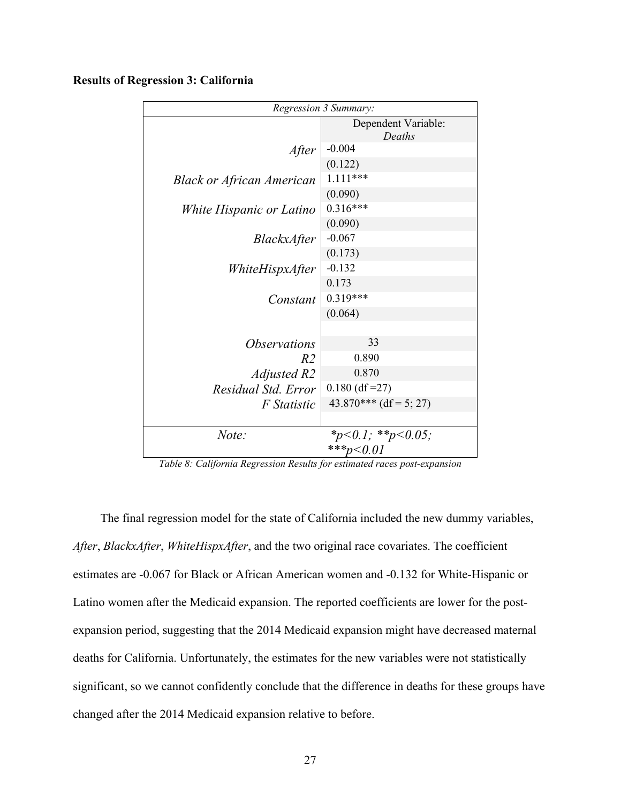#### **Results of Regression 3: California**

| Regression 3 Summary:            |                               |  |
|----------------------------------|-------------------------------|--|
|                                  | Dependent Variable:<br>Deaths |  |
| After                            | $-0.004$                      |  |
|                                  | (0.122)                       |  |
| <b>Black or African American</b> | $1.111***$                    |  |
|                                  | (0.090)                       |  |
| White Hispanic or Latino         | $0.316***$                    |  |
|                                  | (0.090)                       |  |
| <i>BlackxAfter</i>               | $-0.067$                      |  |
|                                  | (0.173)                       |  |
| WhiteHispxAfter                  | $-0.132$                      |  |
|                                  | 0.173                         |  |
| Constant                         | $0.319***$                    |  |
|                                  | (0.064)                       |  |
|                                  |                               |  |
| <i><b>Observations</b></i>       | 33                            |  |
| R2                               | 0.890                         |  |
| <b>Adjusted R2</b>               | 0.870                         |  |
| Residual Std. Error              | $0.180$ (df = 27)             |  |
| F Statistic                      | $43.870***$ (df = 5; 27)      |  |
|                                  |                               |  |
| Note:                            | *p<0.1; **p<0.05;             |  |
|                                  | ***p<0.01                     |  |

*Table 8: California Regression Results for estimated races post-expansion*

The final regression model for the state of California included the new dummy variables, *After*, *BlackxAfter*, *WhiteHispxAfter*, and the two original race covariates. The coefficient estimates are -0.067 for Black or African American women and -0.132 for White-Hispanic or Latino women after the Medicaid expansion. The reported coefficients are lower for the postexpansion period, suggesting that the 2014 Medicaid expansion might have decreased maternal deaths for California. Unfortunately, the estimates for the new variables were not statistically significant, so we cannot confidently conclude that the difference in deaths for these groups have changed after the 2014 Medicaid expansion relative to before.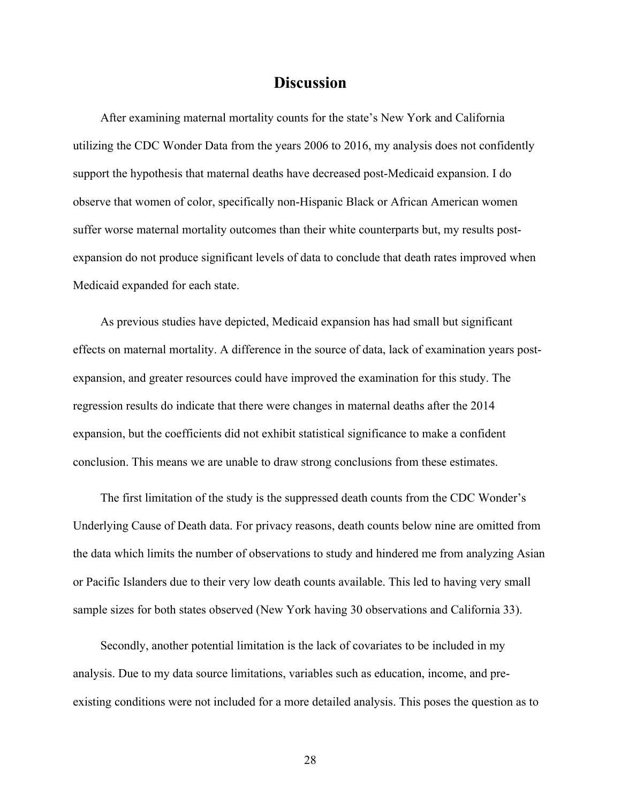### **Discussion**

After examining maternal mortality counts for the state's New York and California utilizing the CDC Wonder Data from the years 2006 to 2016, my analysis does not confidently support the hypothesis that maternal deaths have decreased post-Medicaid expansion. I do observe that women of color, specifically non-Hispanic Black or African American women suffer worse maternal mortality outcomes than their white counterparts but, my results postexpansion do not produce significant levels of data to conclude that death rates improved when Medicaid expanded for each state.

As previous studies have depicted, Medicaid expansion has had small but significant effects on maternal mortality. A difference in the source of data, lack of examination years postexpansion, and greater resources could have improved the examination for this study. The regression results do indicate that there were changes in maternal deaths after the 2014 expansion, but the coefficients did not exhibit statistical significance to make a confident conclusion. This means we are unable to draw strong conclusions from these estimates.

The first limitation of the study is the suppressed death counts from the CDC Wonder's Underlying Cause of Death data. For privacy reasons, death counts below nine are omitted from the data which limits the number of observations to study and hindered me from analyzing Asian or Pacific Islanders due to their very low death counts available. This led to having very small sample sizes for both states observed (New York having 30 observations and California 33).

Secondly, another potential limitation is the lack of covariates to be included in my analysis. Due to my data source limitations, variables such as education, income, and preexisting conditions were not included for a more detailed analysis. This poses the question as to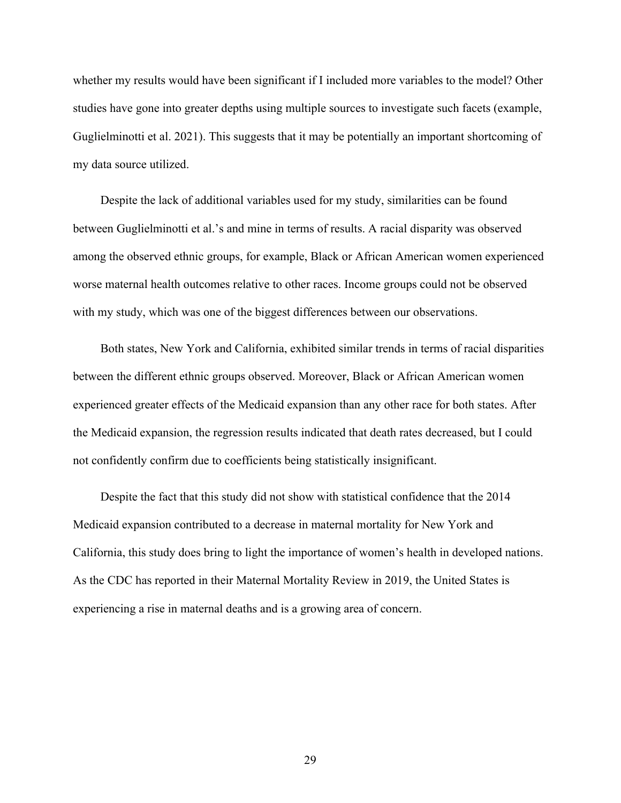whether my results would have been significant if I included more variables to the model? Other studies have gone into greater depths using multiple sources to investigate such facets (example, Guglielminotti et al. 2021). This suggests that it may be potentially an important shortcoming of my data source utilized.

Despite the lack of additional variables used for my study, similarities can be found between Guglielminotti et al.'s and mine in terms of results. A racial disparity was observed among the observed ethnic groups, for example, Black or African American women experienced worse maternal health outcomes relative to other races. Income groups could not be observed with my study, which was one of the biggest differences between our observations.

Both states, New York and California, exhibited similar trends in terms of racial disparities between the different ethnic groups observed. Moreover, Black or African American women experienced greater effects of the Medicaid expansion than any other race for both states. After the Medicaid expansion, the regression results indicated that death rates decreased, but I could not confidently confirm due to coefficients being statistically insignificant.

Despite the fact that this study did not show with statistical confidence that the 2014 Medicaid expansion contributed to a decrease in maternal mortality for New York and California, this study does bring to light the importance of women's health in developed nations. As the CDC has reported in their Maternal Mortality Review in 2019, the United States is experiencing a rise in maternal deaths and is a growing area of concern.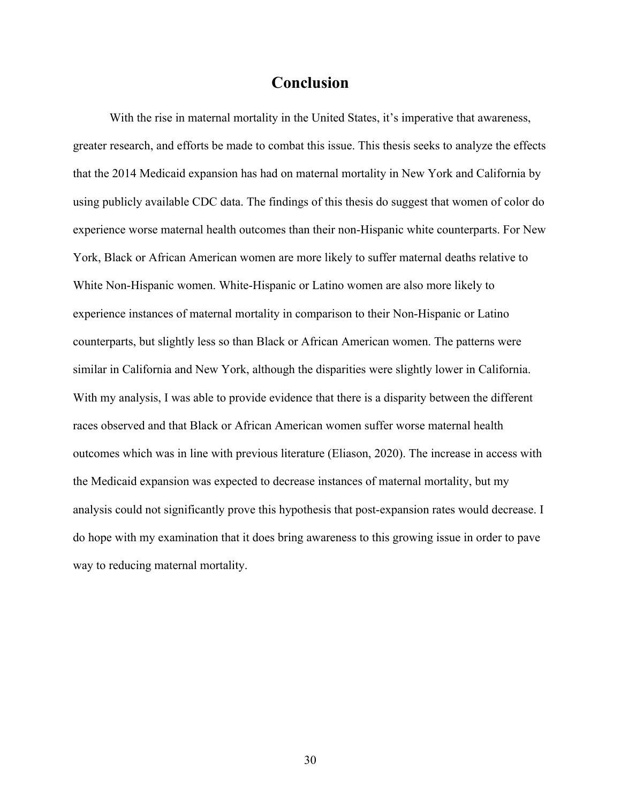## **Conclusion**

With the rise in maternal mortality in the United States, it's imperative that awareness, greater research, and efforts be made to combat this issue. This thesis seeks to analyze the effects that the 2014 Medicaid expansion has had on maternal mortality in New York and California by using publicly available CDC data. The findings of this thesis do suggest that women of color do experience worse maternal health outcomes than their non-Hispanic white counterparts. For New York, Black or African American women are more likely to suffer maternal deaths relative to White Non-Hispanic women. White-Hispanic or Latino women are also more likely to experience instances of maternal mortality in comparison to their Non-Hispanic or Latino counterparts, but slightly less so than Black or African American women. The patterns were similar in California and New York, although the disparities were slightly lower in California. With my analysis, I was able to provide evidence that there is a disparity between the different races observed and that Black or African American women suffer worse maternal health outcomes which was in line with previous literature (Eliason, 2020). The increase in access with the Medicaid expansion was expected to decrease instances of maternal mortality, but my analysis could not significantly prove this hypothesis that post-expansion rates would decrease. I do hope with my examination that it does bring awareness to this growing issue in order to pave way to reducing maternal mortality.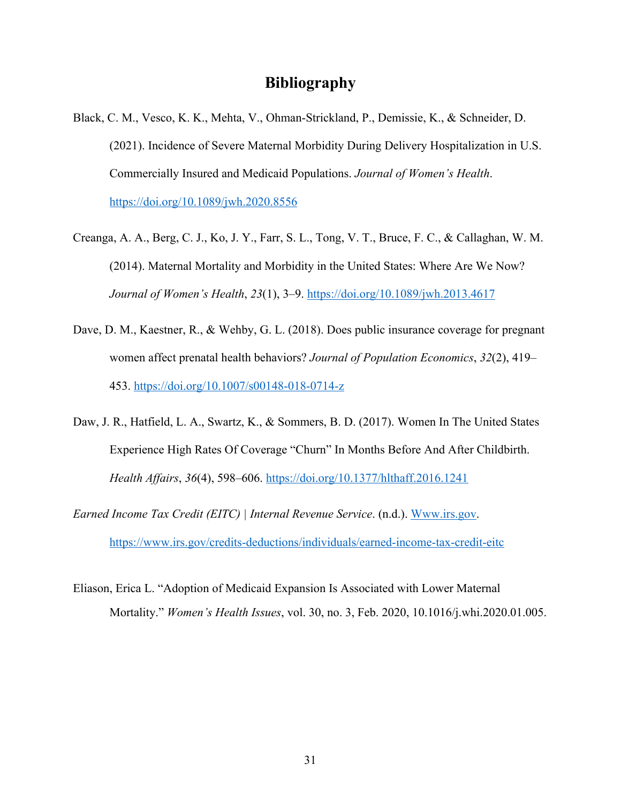### **Bibliography**

- Black, C. M., Vesco, K. K., Mehta, V., Ohman-Strickland, P., Demissie, K., & Schneider, D. (2021). Incidence of Severe Maternal Morbidity During Delivery Hospitalization in U.S. Commercially Insured and Medicaid Populations. *Journal of Women's Health*. https://doi.org/10.1089/jwh.2020.8556
- Creanga, A. A., Berg, C. J., Ko, J. Y., Farr, S. L., Tong, V. T., Bruce, F. C., & Callaghan, W. M. (2014). Maternal Mortality and Morbidity in the United States: Where Are We Now? *Journal of Women's Health*, *23*(1), 3–9. https://doi.org/10.1089/jwh.2013.4617
- Dave, D. M., Kaestner, R., & Wehby, G. L. (2018). Does public insurance coverage for pregnant women affect prenatal health behaviors? *Journal of Population Economics*, *32*(2), 419– 453. https://doi.org/10.1007/s00148-018-0714-z
- Daw, J. R., Hatfield, L. A., Swartz, K., & Sommers, B. D. (2017). Women In The United States Experience High Rates Of Coverage "Churn" In Months Before And After Childbirth. *Health Affairs*, *36*(4), 598–606. https://doi.org/10.1377/hlthaff.2016.1241
- *Earned Income Tax Credit (EITC) | Internal Revenue Service*. (n.d.). Www.irs.gov. https://www.irs.gov/credits-deductions/individuals/earned-income-tax-credit-eitc
- Eliason, Erica L. "Adoption of Medicaid Expansion Is Associated with Lower Maternal Mortality." *Women's Health Issues*, vol. 30, no. 3, Feb. 2020, 10.1016/j.whi.2020.01.005.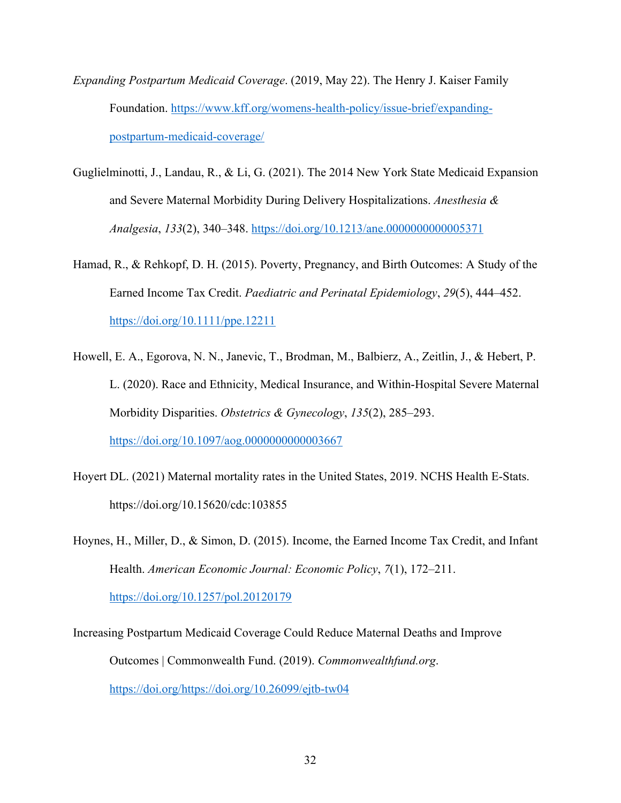- *Expanding Postpartum Medicaid Coverage*. (2019, May 22). The Henry J. Kaiser Family Foundation. https://www.kff.org/womens-health-policy/issue-brief/expandingpostpartum-medicaid-coverage/
- Guglielminotti, J., Landau, R., & Li, G. (2021). The 2014 New York State Medicaid Expansion and Severe Maternal Morbidity During Delivery Hospitalizations. *Anesthesia & Analgesia*, *133*(2), 340–348. https://doi.org/10.1213/ane.0000000000005371
- Hamad, R., & Rehkopf, D. H. (2015). Poverty, Pregnancy, and Birth Outcomes: A Study of the Earned Income Tax Credit. *Paediatric and Perinatal Epidemiology*, *29*(5), 444–452. https://doi.org/10.1111/ppe.12211
- Howell, E. A., Egorova, N. N., Janevic, T., Brodman, M., Balbierz, A., Zeitlin, J., & Hebert, P. L. (2020). Race and Ethnicity, Medical Insurance, and Within-Hospital Severe Maternal Morbidity Disparities. *Obstetrics & Gynecology*, *135*(2), 285–293. https://doi.org/10.1097/aog.0000000000003667
- Hoyert DL. (2021) Maternal mortality rates in the United States, 2019. NCHS Health E-Stats. https://doi.org/10.15620/cdc:103855
- Hoynes, H., Miller, D., & Simon, D. (2015). Income, the Earned Income Tax Credit, and Infant Health. *American Economic Journal: Economic Policy*, *7*(1), 172–211. https://doi.org/10.1257/pol.20120179
- Increasing Postpartum Medicaid Coverage Could Reduce Maternal Deaths and Improve Outcomes | Commonwealth Fund. (2019). *Commonwealthfund.org*. https://doi.org/https://doi.org/10.26099/ejtb-tw04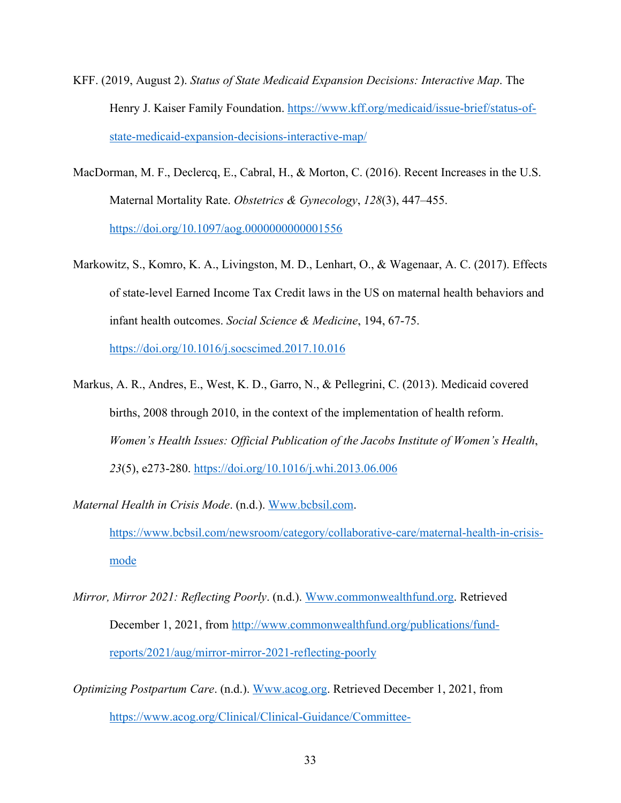- KFF. (2019, August 2). *Status of State Medicaid Expansion Decisions: Interactive Map*. The Henry J. Kaiser Family Foundation. https://www.kff.org/medicaid/issue-brief/status-ofstate-medicaid-expansion-decisions-interactive-map/
- MacDorman, M. F., Declercq, E., Cabral, H., & Morton, C. (2016). Recent Increases in the U.S. Maternal Mortality Rate. *Obstetrics & Gynecology*, *128*(3), 447–455. https://doi.org/10.1097/aog.0000000000001556
- Markowitz, S., Komro, K. A., Livingston, M. D., Lenhart, O., & Wagenaar, A. C. (2017). Effects of state-level Earned Income Tax Credit laws in the US on maternal health behaviors and infant health outcomes. *Social Science & Medicine*, 194, 67-75.

https://doi.org/10.1016/j.socscimed.2017.10.016

- Markus, A. R., Andres, E., West, K. D., Garro, N., & Pellegrini, C. (2013). Medicaid covered births, 2008 through 2010, in the context of the implementation of health reform. *Women's Health Issues: Official Publication of the Jacobs Institute of Women's Health*, *23*(5), e273-280. https://doi.org/10.1016/j.whi.2013.06.006
- *Maternal Health in Crisis Mode*. (n.d.). Www.bcbsil.com. https://www.bcbsil.com/newsroom/category/collaborative-care/maternal-health-in-crisismode
- *Mirror, Mirror 2021: Reflecting Poorly*. (n.d.). Www.commonwealthfund.org. Retrieved December 1, 2021, from http://www.commonwealthfund.org/publications/fundreports/2021/aug/mirror-mirror-2021-reflecting-poorly
- *Optimizing Postpartum Care*. (n.d.). Www.acog.org. Retrieved December 1, 2021, from https://www.acog.org/Clinical/Clinical-Guidance/Committee-